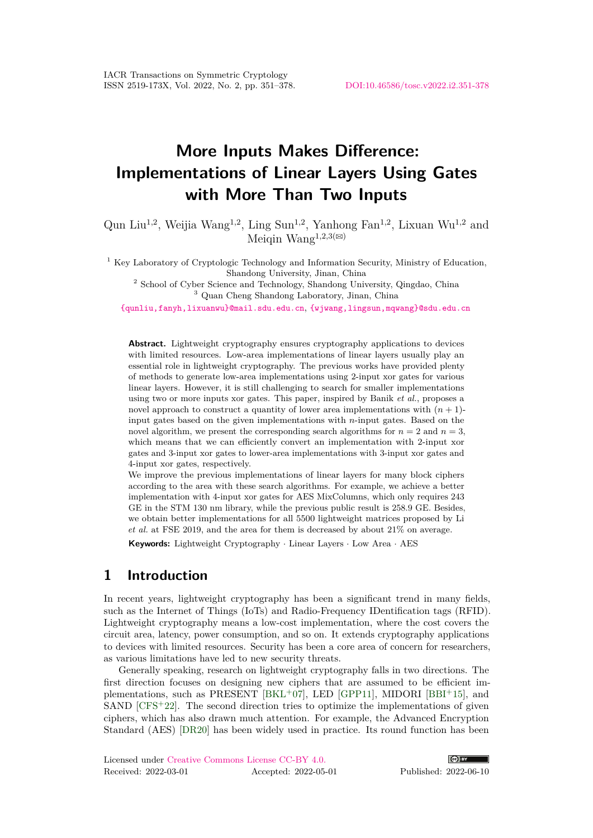# **More Inputs Makes Difference: Implementations of Linear Layers Using Gates with More Than Two Inputs**

Qun Liu<sup>1,2</sup>, Weijia Wang<sup>1,2</sup>, Ling Sun<sup>1,2</sup>, Yanhong Fan<sup>1,2</sup>, Lixuan Wu<sup>1,2</sup> and Meigin Wang<sup>1,2,3( $\boxtimes$ )</sup>

<sup>1</sup> Key Laboratory of Cryptologic Technology and Information Security, Ministry of Education, Shandong University, Jinan, China

<sup>2</sup> School of Cyber Science and Technology, Shandong University, Qingdao, China <sup>3</sup> Quan Cheng Shandong Laboratory, Jinan, China

[{qunliu,fanyh,lixuanwu}@mail.sdu.edu.cn](mailto:qunliu@mail.sdu.edu.cn, fanyh@mail.sdu.edu.cn, lixuanwu@mail.sdu.edu.cn), [{wjwang,lingsun,mqwang}@sdu.edu.cn](mailto:wjwang@sdu.edu.cn, lingsun@sdu.edu.cn, mqwang@sdu.edu.cn)

**Abstract.** Lightweight cryptography ensures cryptography applications to devices with limited resources. Low-area implementations of linear layers usually play an essential role in lightweight cryptography. The previous works have provided plenty of methods to generate low-area implementations using 2-input xor gates for various linear layers. However, it is still challenging to search for smaller implementations using two or more inputs xor gates. This paper, inspired by Banik *et al.*, proposes a novel approach to construct a quantity of lower area implementations with  $(n + 1)$ input gates based on the given implementations with *n*-input gates. Based on the novel algorithm, we present the corresponding search algorithms for  $n = 2$  and  $n = 3$ , which means that we can efficiently convert an implementation with 2-input xor gates and 3-input xor gates to lower-area implementations with 3-input xor gates and 4-input xor gates, respectively.

We improve the previous implementations of linear layers for many block ciphers according to the area with these search algorithms. For example, we achieve a better implementation with 4-input xor gates for AES MixColumns, which only requires 243 GE in the STM 130 nm library, while the previous public result is 258.9 GE. Besides, we obtain better implementations for all 5500 lightweight matrices proposed by Li *et al.* at FSE 2019, and the area for them is decreased by about 21% on average.

**Keywords:** Lightweight Cryptography · Linear Layers · Low Area · AES

# **1 Introduction**

In recent years, lightweight cryptography has been a significant trend in many fields, such as the Internet of Things (IoTs) and Radio-Frequency IDentification tags (RFID). Lightweight cryptography means a low-cost implementation, where the cost covers the circuit area, latency, power consumption, and so on. It extends cryptography applications to devices with limited resources. Security has been a core area of concern for researchers, as various limitations have led to new security threats.

Generally speaking, research on lightweight cryptography falls in two directions. The first direction focuses on designing new ciphers that are assumed to be efficient im-plementations, such as PRESENT [\[BKL](#page-25-0)+07], LED [\[GPP11\]](#page-26-0), MIDORI [\[BBI](#page-25-1)+15], and SAND  $[CFS+22]$  $[CFS+22]$ . The second direction tries to optimize the implementations of given ciphers, which has also drawn much attention. For example, the Advanced Encryption Standard (AES) [\[DR20\]](#page-26-2) has been widely used in practice. Its round function has been

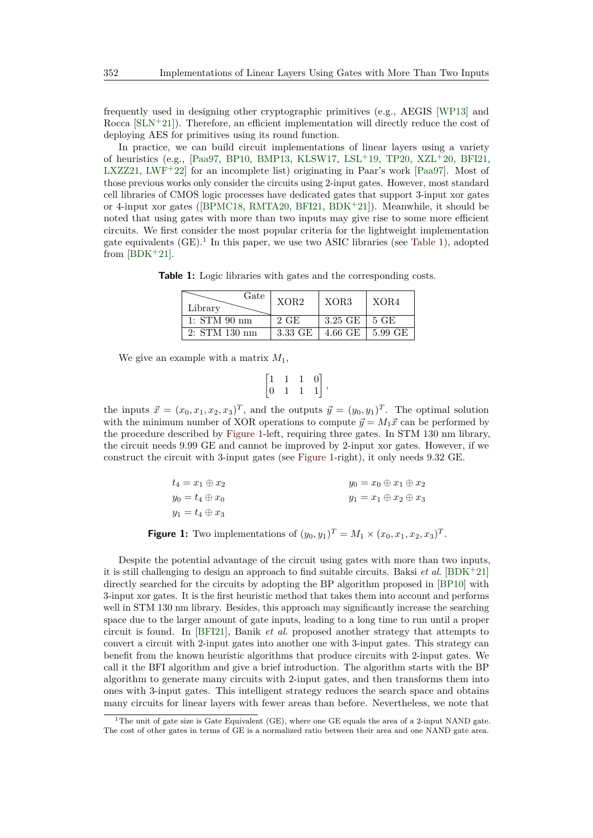frequently used in designing other cryptographic primitives (e.g., AEGIS [\[WP13\]](#page-27-0) and Rocca  $[\text{SLN}^+21]$ . Therefore, an efficient implementation will directly reduce the cost of deploying AES for primitives using its round function.

In practice, we can build circuit implementations of linear layers using a variety of heuristics (e.g., [\[Paa97,](#page-27-2) [BP10,](#page-25-2) [BMP13,](#page-25-3) [KLSW17,](#page-26-3) [LSL](#page-27-3)<sup>+</sup>19, [TP20,](#page-27-4) [XZL](#page-27-5)<sup>+</sup>20, [BFI21,](#page-25-4) [LXZZ21,](#page-27-6) [LWF](#page-27-7)<sup>+</sup>22 for an incomplete list) originating in Paar's work [\[Paa97\]](#page-27-2). Most of those previous works only consider the circuits using 2-input gates. However, most standard cell libraries of CMOS logic processes have dedicated gates that support 3-input xor gates or 4-input xor gates ([\[BPMC18,](#page-26-4) [RMTA20,](#page-27-8) [BFI21,](#page-25-4) [BDK](#page-25-5)<sup>+</sup>21]). Meanwhile, it should be noted that using gates with more than two inputs may give rise to some more efficient circuits. We first consider the most popular criteria for the lightweight implementation gate equivalents (GE).<sup>[1](#page-1-0)</sup> In this paper, we use two ASIC libraries (see [Table 1\)](#page-1-1), adopted from  $[BDK+21]$  $[BDK+21]$ .

<span id="page-1-1"></span>**Table 1:** Logic libraries with gates and the corresponding costs.

| Gate<br>Library  | XOR <sub>2</sub> | XOR3                                  | XOR4 |
|------------------|------------------|---------------------------------------|------|
| $1: STM$ $90~nm$ | $2 \text{ GE}$   | $3.25 \, \text{GE}$   5 GE            |      |
| 2: STM 130 nm    | 3.33 GE          | $4.66 \text{ GE}$   $5.99 \text{ GE}$ |      |

We give an example with a matrix *M*1,

$$
\begin{bmatrix} 1 & 1 & 1 & 0 \\ 0 & 1 & 1 & 1 \end{bmatrix},
$$

the inputs  $\vec{x} = (x_0, x_1, x_2, x_3)^T$ , and the outputs  $\vec{y} = (y_0, y_1)^T$ . The optimal solution with the minimum number of XOR operations to compute  $\vec{y} = M_1 \vec{x}$  can be performed by the procedure described by [Figure 1-](#page-1-2)left, requiring three gates. In STM 130 nm library, the circuit needs 9*.*99 GE and cannot be improved by 2-input xor gates. However, if we construct the circuit with 3-input gates (see [Figure 1-](#page-1-2)right), it only needs 9*.*32 GE.

<span id="page-1-2"></span>

| $t_4=x_1\oplus x_2$    | $y_0 = x_0 \oplus x_1 \oplus x_2$ |
|------------------------|-----------------------------------|
| $y_0=t_4\oplus x_0$    | $y_1 = x_1 \oplus x_2 \oplus x_3$ |
| $y_1 = t_4 \oplus x_3$ |                                   |

**Figure 1:** Two implementations of  $(y_0, y_1)^T = M_1 \times (x_0, x_1, x_2, x_3)^T$ .

Despite the potential advantage of the circuit using gates with more than two inputs, it is still challenging to design an approach to find suitable circuits. Baksi *et al.* [\[BDK](#page-25-5)<sup>+</sup>21] directly searched for the circuits by adopting the BP algorithm proposed in [\[BP10\]](#page-25-2) with 3-input xor gates. It is the first heuristic method that takes them into account and performs well in STM 130 nm library. Besides, this approach may significantly increase the searching space due to the larger amount of gate inputs, leading to a long time to run until a proper circuit is found. In [\[BFI21\]](#page-25-4), Banik *et al.* proposed another strategy that attempts to convert a circuit with 2-input gates into another one with 3-input gates. This strategy can benefit from the known heuristic algorithms that produce circuits with 2-input gates. We call it the BFI algorithm and give a brief introduction. The algorithm starts with the BP algorithm to generate many circuits with 2-input gates, and then transforms them into ones with 3-input gates. This intelligent strategy reduces the search space and obtains many circuits for linear layers with fewer areas than before. Nevertheless, we note that

<span id="page-1-0"></span><sup>&</sup>lt;sup>1</sup>The unit of gate size is Gate Equivalent (GE), where one GE equals the area of a 2-input NAND gate. The cost of other gates in terms of GE is a normalized ratio between their area and one NAND gate area.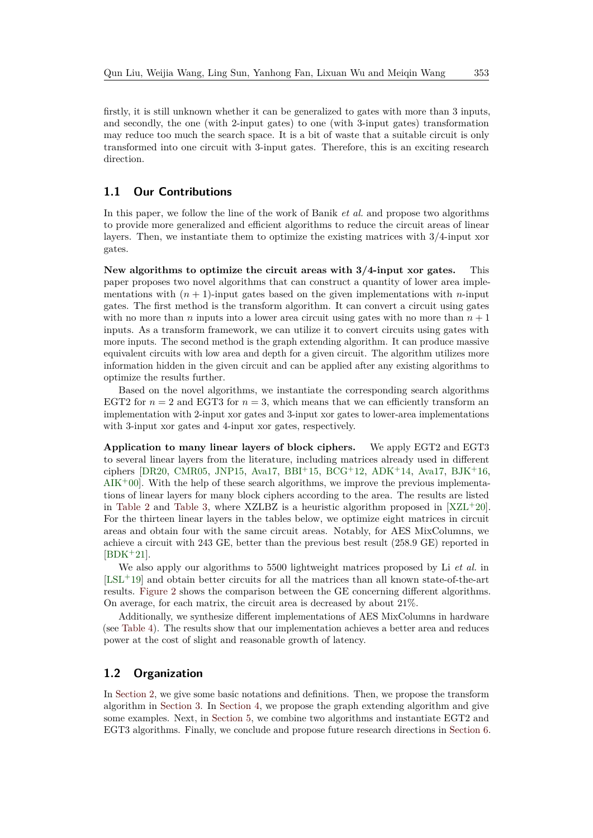firstly, it is still unknown whether it can be generalized to gates with more than 3 inputs, and secondly, the one (with 2-input gates) to one (with 3-input gates) transformation may reduce too much the search space. It is a bit of waste that a suitable circuit is only transformed into one circuit with 3-input gates. Therefore, this is an exciting research direction.

### **1.1 Our Contributions**

In this paper, we follow the line of the work of Banik *et al.* and propose two algorithms to provide more generalized and efficient algorithms to reduce the circuit areas of linear layers. Then, we instantiate them to optimize the existing matrices with 3/4-input xor gates.

**New algorithms to optimize the circuit areas with 3/4-input xor gates.** This paper proposes two novel algorithms that can construct a quantity of lower area implementations with  $(n + 1)$ -input gates based on the given implementations with *n*-input gates. The first method is the transform algorithm. It can convert a circuit using gates with no more than *n* inputs into a lower area circuit using gates with no more than  $n + 1$ inputs. As a transform framework, we can utilize it to convert circuits using gates with more inputs. The second method is the graph extending algorithm. It can produce massive equivalent circuits with low area and depth for a given circuit. The algorithm utilizes more information hidden in the given circuit and can be applied after any existing algorithms to optimize the results further.

Based on the novel algorithms, we instantiate the corresponding search algorithms EGT2 for  $n = 2$  and EGT3 for  $n = 3$ , which means that we can efficiently transform an implementation with 2-input xor gates and 3-input xor gates to lower-area implementations with 3-input xor gates and 4-input xor gates, respectively.

**Application to many linear layers of block ciphers.** We apply EGT2 and EGT3 to several linear layers from the literature, including matrices already used in different ciphers [\[DR20,](#page-26-2) [CMR05,](#page-26-5) [JNP15,](#page-26-6) [Ava17,](#page-25-6) [BBI](#page-25-1)+15, [BCG](#page-25-7)+12, [ADK](#page-24-0)+14, Ava17, [BJK](#page-25-8)+16,  $AIK^+00$  $AIK^+00$ . With the help of these search algorithms, we improve the previous implementations of linear layers for many block ciphers according to the area. The results are listed in [Table 2](#page-3-0) and [Table 3,](#page-3-1) where XZLBZ is a heuristic algorithm proposed in  $[XZL+20]$  $[XZL+20]$ . For the thirteen linear layers in the tables below, we optimize eight matrices in circuit areas and obtain four with the same circuit areas. Notably, for AES MixColumns, we achieve a circuit with 243 GE, better than the previous best result (258.9 GE) reported in  $|BDK+21|$ .

We also apply our algorithms to 5500 lightweight matrices proposed by Li *et al.* in  $[LSL+19]$  $[LSL+19]$  and obtain better circuits for all the matrices than all known state-of-the-art results. [Figure 2](#page-4-0) shows the comparison between the GE concerning different algorithms. On average, for each matrix, the circuit area is decreased by about 21%.

Additionally, we synthesize different implementations of AES MixColumns in hardware (see [Table 4\)](#page-3-2). The results show that our implementation achieves a better area and reduces power at the cost of slight and reasonable growth of latency.

#### **1.2 Organization**

In [Section 2,](#page-4-1) we give some basic notations and definitions. Then, we propose the transform algorithm in [Section 3.](#page-6-0) In [Section 4,](#page-8-0) we propose the graph extending algorithm and give some examples. Next, in [Section 5,](#page-14-0) we combine two algorithms and instantiate EGT2 and EGT3 algorithms. Finally, we conclude and propose future research directions in [Section 6.](#page-24-2)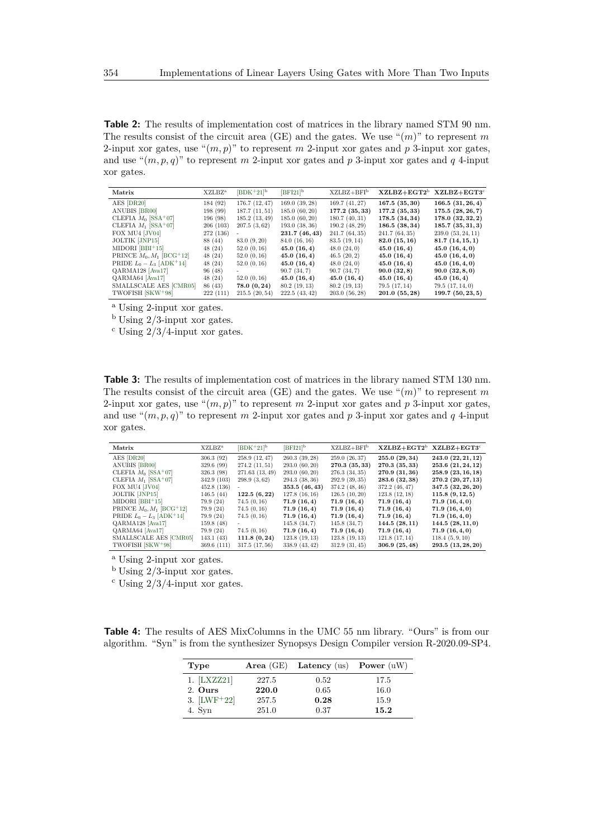<span id="page-3-0"></span>**Table 2:** The results of implementation cost of matrices in the library named STM 90 nm. The results consist of the circuit area (GE) and the gates. We use " $(m)$ " to represent m 2-input xor gates, use " $(m, p)$ " to represent m 2-input xor gates and p 3-input xor gates, and use " $(m, p, q)$ " to represent *m* 2-input xor gates and *p* 3-input xor gates and *q* 4-input xor gates.

| Matrix                     | XZLBZ <sup>a</sup> | $[BDK+21]^{b}$ | $[BFI21]^{b}$ | $XZLBZ+BFIb$   |               | $XZLBZ+EGT2^b$ $XZLBZ+EGT3^c$ |
|----------------------------|--------------------|----------------|---------------|----------------|---------------|-------------------------------|
| AES [DR20]                 | 184 (92)           | 176.7(12, 47)  | 169.0(39,28)  | 169.7(41,27)   | 167.5(35,30)  | 166.5(31, 26, 4)              |
| ANUBIS [BR00]              | 198(99)            | 187.7(11,51)   | 185.0(60, 20) | 177.2(35,33)   | 177.2(35,33)  | 175.5(28, 26, 7)              |
| CLEFIA $M_0$ [SSA+07]      | 196(98)            | 185.2(13, 49)  | 185.0(60, 20) | 180.7(40,31)   | 178.5(34,34)  | 178.0(32,32,2)                |
| CLEFIA $M_1$ [SSA+07]      | 206(103)           | 207.5(3,62)    | 193.0(38,36)  | 190.2(48, 29)  | 186.5(38,34)  | 185.7(35,31,3)                |
| FOX MU4 [JV04]             | 272 (136)          |                | 231.7(46, 43) | 241.7 (64, 35) | 241.7(64,35)  | 239.0(53, 24, 11)             |
| JOLTIK [JNP15]             | 88 (44)            | 83.0(9,20)     | 84.0 (16, 16) | 83.5 (19, 14)  | 82.0(15,16)   | 81.7(14,15,1)                 |
| $MIDORI [BBI+15]$          | 48(24)             | 52.0(0,16)     | 45.0(16,4)    | 48.0(24,0)     | 45.0(16,4)    | 45.0(16,4,0)                  |
| PRINCE $M_0, M_1$ [BCG+12] | 48(24)             | 52.0(0,16)     | 45.0(16,4)    | 46.5(20, 2)    | 45.0(16,4)    | 45.0(16,4,0)                  |
| PRIDE $L_0 - L_3$ [ADK+14] | 48(24)             | 52.0(0,16)     | 45.0(16,4)    | 48.0(24,0)     | 45.0(16,4)    | 45.0(16,4,0)                  |
| QARMA128 [Ava17]           | 96(48)             | $\sim$         | 90.7(34,7)    | 90.7(34,7)     | 90.0(32,8)    | 90.0(32,8,0)                  |
| QARMA64 [Ava17]            | 48(24)             | 52.0(0,16)     | 45.0(16,4)    | 45.0(16,4)     | 45.0(16,4)    | 45.0(16,4)                    |
| SMALLSCALE AES [CMR05]     | 86 (43)            | 78.0(0, 24)    | 80.2(19,13)   | 80.2(19,13)    | 79.5(17,14)   | 79.5(17, 14, 0)               |
| TWOFISH [SKW+98]           | 222(111)           | 215.5(20,54)   | 222.5(43, 42) | 203.0(56, 28)  | 201.0(55, 28) | 199.7(50, 23, 5)              |

<sup>a</sup> Using 2-input xor gates.

<sup>b</sup> Using 2/3-input xor gates.

 $\rm^c$  Using 2/3/4-input xor gates.

<span id="page-3-1"></span>**Table 3:** The results of implementation cost of matrices in the library named STM 130 nm. The results consist of the circuit area (GE) and the gates. We use " $(m)$ " to represent m 2-input xor gates, use " $(m, p)$ " to represent *m* 2-input xor gates and *p* 3-input xor gates, and use " $(m, p, q)$ " to represent *m* 2-input xor gates and *p* 3-input xor gates and *q* 4-input xor gates.

| Matrix                                  | XZLBZ <sup>a</sup> | $[$ BDK <sup>+</sup> 21] <sup>b</sup> | $[BFI21]^{b}$ | $XZLBZ+BFIb$   |                | $XZLBZ+EGT2^b$ $XZLBZ+EGT3^c$ |
|-----------------------------------------|--------------------|---------------------------------------|---------------|----------------|----------------|-------------------------------|
| AES [DR20]                              | 306.3(92)          | 258.9 (12.47)                         | 260.3(39, 28) | 259.0(26,37)   | 255.0(29,34)   | 243.0(22, 21, 12)             |
| ANUBIS [BR00]                           | 329.6(99)          | 274.2(11,51)                          | 293.0(60, 20) | 270.3 (35, 33) | 270.3 (35, 33) | 253.6 (21, 24, 12)            |
| CLEFIA $M_0$ [SSA+07]                   | 326.3(98)          | 271.63(13,49)                         | 293.0(60, 20) | 276.3(34,35)   | 270.9(31,36)   | 258.9(23, 16, 18)             |
| CLEFIA $M_1$ [SSA+07]                   | 342.9 (103)        | 298.9(3,62)                           | 294.3(38,36)  | 292.9(39,35)   | 283.6 (32, 38) | 270.2 (20, 27, 13)            |
| FOX MU4 [JV04]                          | 452.8(136)         |                                       | 353.5(46, 43) | 374.2(48, 46)  | 372.2(46, 47)  | 347.5 (32, 26, 20)            |
| JOLTIK [JNP15]                          | 146.5(44)          | 122.5(6,22)                           | 127.8(16,16)  | 126.5(10, 20)  | 123.8(12,18)   | 115.8(9, 12, 5)               |
| MIDORI [BBI+15]                         | 79.9(24)           | 74.5(0, 16)                           | 71.9(16,4)    | 71.9(16,4)     | 71.9(16,4)     | 71.9(16,4,0)                  |
| PRINCE $M_0, M_1$ [BCG+12]              | 79.9(24)           | 74.5(0, 16)                           | 71.9(16,4)    | 71.9(16,4)     | 71.9(16,4)     | 71.9(16,4,0)                  |
| PRIDE $L_0 - L_3$ [ADK <sup>+</sup> 14] | 79.9(24)           | 74.5(0, 16)                           | 71.9(16,4)    | 71.9(16,4)     | 71.9(16,4)     | 71.9(16,4,0)                  |
| QARMA128 [Ava17]                        | 159.8(48)          |                                       | 145.8(34,7)   | 145.8(34,7)    | 144.5(28,11)   | 144.5(28,11,0)                |
| QARMA64 [Ava17]                         | 79.9(24)           | 74.5(0, 16)                           | 71.9(16,4)    | 71.9(16,4)     | 71.9(16,4)     | 71.9(16,4,0)                  |
| SMALLSCALE AES [CMR05]                  | 143.1(43)          | 111.8(0, 24)                          | 123.8(19,13)  | 123.8(19,13)   | 121.8(17, 14)  | 118.4(5, 9, 10)               |
| TWOFISH [SKW <sup>+98]</sup>            | 369.6(111)         | 317.5(17,56)                          | 338.9(43, 42) | 312.9(31,45)   | 306.9(25, 48)  | 293.5 (13, 28, 20)            |

<sup>a</sup> Using 2-input xor gates.

 $<sup>b</sup>$  Using 2/3-input xor gates.</sup>

 $\rm c$  Using 2/3/4-input xor gates.

<span id="page-3-2"></span>**Table 4:** The results of AES MixColumns in the UMC 55 nm library. "Ours" is from our algorithm. "Syn" is from the synthesizer Synopsys Design Compiler version R-2020.09-SP4.

| Type           | Area $(GE)$ | Latency (us) Power $(uW)$ |      |
|----------------|-------------|---------------------------|------|
| $1.$ [LXZZ21]  | 227.5       | 0.52                      | 17.5 |
| 2. Ours        | 220.0       | 0.65                      | 16.0 |
| 3. $[LWF^+22]$ | 257.5       | 0.28                      | 15.9 |
| 4. Syn         | 251.0       | 0.37                      | 15.2 |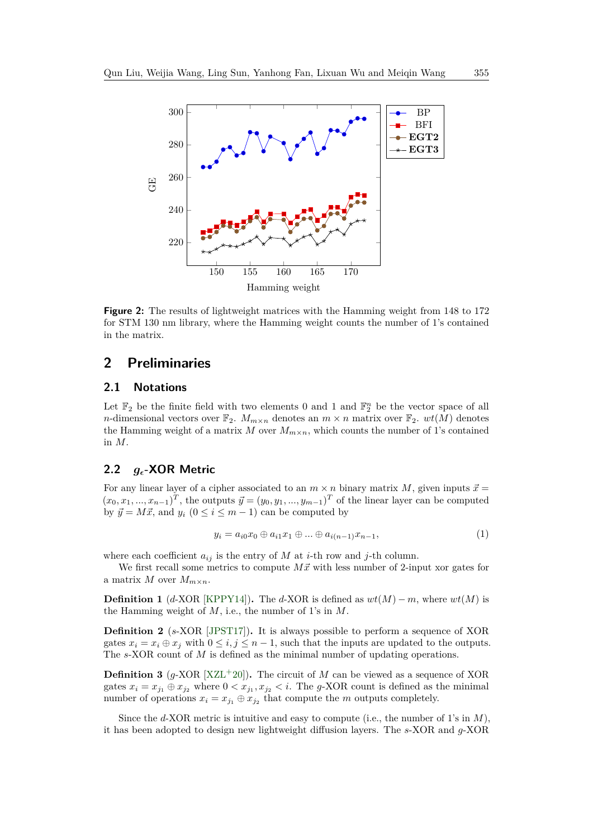<span id="page-4-0"></span>

**Figure 2:** The results of lightweight matrices with the Hamming weight from 148 to 172 for STM 130 nm library, where the Hamming weight counts the number of 1's contained in the matrix.

# <span id="page-4-1"></span>**2 Preliminaries**

## **2.1 Notations**

Let  $\mathbb{F}_2$  be the finite field with two elements 0 and 1 and  $\mathbb{F}_2^n$  be the vector space of all *n*-dimensional vectors over  $\mathbb{F}_2$ .  $M_{m \times n}$  denotes an  $m \times n$  matrix over  $\mathbb{F}_2$ .  $wt(M)$  denotes the Hamming weight of a matrix  $M$  over  $M_{m \times n}$ , which counts the number of 1's contained in *M*.

### **2.2** *g***-XOR Metric**

For any linear layer of a cipher associated to an  $m \times n$  binary matrix  $M$ , given inputs  $\vec{x} =$  $(x_0, x_1, \ldots, x_{n-1})^T$ , the outputs  $\vec{y} = (y_0, y_1, \ldots, y_{m-1})^T$  of the linear layer can be computed by  $\vec{y} = M\vec{x}$ , and  $y_i$  ( $0 \le i \le m - 1$ ) can be computed by

$$
y_i = a_{i0}x_0 \oplus a_{i1}x_1 \oplus \dots \oplus a_{i(n-1)}x_{n-1},\tag{1}
$$

where each coefficient  $a_{ij}$  is the entry of *M* at *i*-th row and *j*-th column.

We first recall some metrics to compute  $M\vec{x}$  with less number of 2-input xor gates for a matrix *M* over  $M_{m \times n}$ .

**Definition 1** ( $d$ -XOR [\[KPPY14\]](#page-26-9))**.** The  $d$ -XOR is defined as  $wt(M) - m$ , where  $wt(M)$  is the Hamming weight of *M*, i.e., the number of 1's in *M*.

**Definition 2** (*s*-XOR [\[JPST17\]](#page-26-10))**.** It is always possible to perform a sequence of XOR gates  $x_i = x_i \oplus x_j$  with  $0 \le i, j \le n - 1$ , such that the inputs are updated to the outputs. The *s*-XOR count of *M* is defined as the minimal number of updating operations.

**Definition 3** ( $g$ -XOR  $[XZL+20]$  $[XZL+20]$ ). The circuit of *M* can be viewed as a sequence of XOR gates  $x_i = x_{j_1} \oplus x_{j_2}$  where  $0 < x_{j_1}, x_{j_2} < i$ . The *g*-XOR count is defined as the minimal number of operations  $x_i = x_{j_1} \oplus x_{j_2}$  that compute the *m* outputs completely.

Since the *d*-XOR metric is intuitive and easy to compute (i.e., the number of 1's in *M*), it has been adopted to design new lightweight diffusion layers. The *s*-XOR and *g*-XOR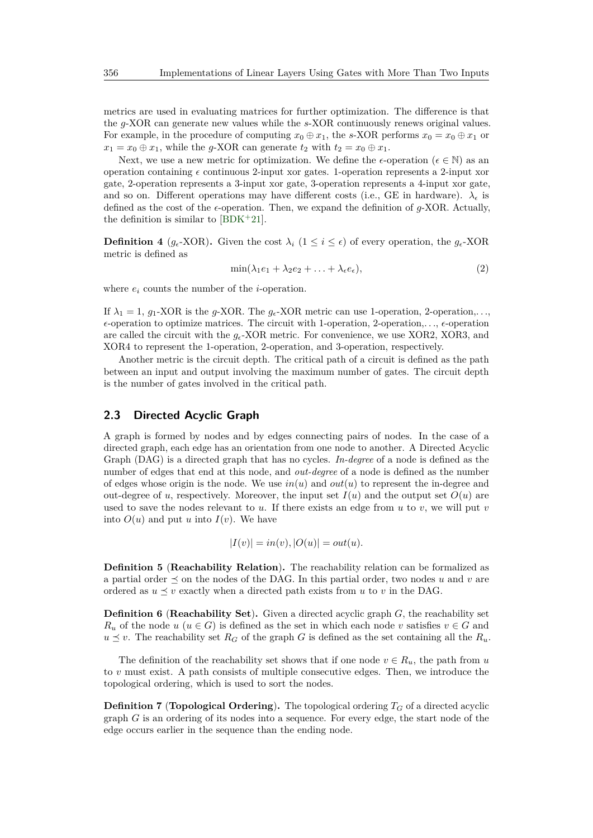metrics are used in evaluating matrices for further optimization. The difference is that the *g*-XOR can generate new values while the *s*-XOR continuously renews original values. For example, in the procedure of computing  $x_0 \oplus x_1$ , the *s*-XOR performs  $x_0 = x_0 \oplus x_1$  or  $x_1 = x_0 \oplus x_1$ , while the *g*-XOR can generate  $t_2$  with  $t_2 = x_0 \oplus x_1$ .

Next, we use a new metric for optimization. We define the  $\epsilon$ -operation ( $\epsilon \in \mathbb{N}$ ) as an operation containing  $\epsilon$  continuous 2-input xor gates. 1-operation represents a 2-input xor gate, 2-operation represents a 3-input xor gate, 3-operation represents a 4-input xor gate, and so on. Different operations may have different costs (i.e., GE in hardware).  $\lambda_{\epsilon}$  is defined as the cost of the  $\epsilon$ -operation. Then, we expand the definition of  $q$ -XOR. Actually, the definition is similar to  $[BDK^+21]$  $[BDK^+21]$ .

**Definition 4** ( $g_{\epsilon}$ -XOR). Given the cost  $\lambda_i$  ( $1 \leq i \leq \epsilon$ ) of every operation, the  $g_{\epsilon}$ -XOR metric is defined as

$$
\min(\lambda_1 e_1 + \lambda_2 e_2 + \ldots + \lambda_{\epsilon} e_{\epsilon}),\tag{2}
$$

where  $e_i$  counts the number of the *i*-operation.

If  $\lambda_1 = 1$ ,  $g_1$ -XOR is the *g*-XOR. The  $g_\epsilon$ -XOR metric can use 1-operation, 2-operation,...  $\epsilon$ -operation to optimize matrices. The circuit with 1-operation, 2-operation,  $\ldots$ ,  $\epsilon$ -operation are called the circuit with the *g*-XOR metric. For convenience, we use XOR2, XOR3, and XOR4 to represent the 1-operation, 2-operation, and 3-operation, respectively.

Another metric is the circuit depth. The critical path of a circuit is defined as the path between an input and output involving the maximum number of gates. The circuit depth is the number of gates involved in the critical path.

### **2.3 Directed Acyclic Graph**

A graph is formed by nodes and by edges connecting pairs of nodes. In the case of a directed graph, each edge has an orientation from one node to another. A Directed Acyclic Graph (DAG) is a directed graph that has no cycles. *In-degree* of a node is defined as the number of edges that end at this node, and *out-degree* of a node is defined as the number of edges whose origin is the node. We use  $in(u)$  and  $out(u)$  to represent the in-degree and out-degree of *u*, respectively. Moreover, the input set  $I(u)$  and the output set  $O(u)$  are used to save the nodes relevant to  $u$ . If there exists an edge from  $u$  to  $v$ , we will put  $v$ into  $O(u)$  and put *u* into  $I(v)$ . We have

$$
|I(v)| = in(v), |O(u)| = out(u).
$$

**Definition 5** (**Reachability Relation**)**.** The reachability relation can be formalized as a partial order  $\preceq$  on the nodes of the DAG. In this partial order, two nodes *u* and *v* are ordered as  $u \leq v$  exactly when a directed path exists from *u* to *v* in the DAG.

**Definition 6** (**Reachability Set**)**.** Given a directed acyclic graph *G*, the reachability set  $R_u$  of the node  $u$  ( $u \in G$ ) is defined as the set in which each node *v* satisfies  $v \in G$  and  $u \leq v$ . The reachability set  $R_G$  of the graph *G* is defined as the set containing all the  $R_u$ .

The definition of the reachability set shows that if one node  $v \in R_u$ , the path from *u* to *v* must exist. A path consists of multiple consecutive edges. Then, we introduce the topological ordering, which is used to sort the nodes.

**Definition 7** (**Topological Ordering**). The topological ordering  $T_G$  of a directed acyclic graph *G* is an ordering of its nodes into a sequence. For every edge, the start node of the edge occurs earlier in the sequence than the ending node.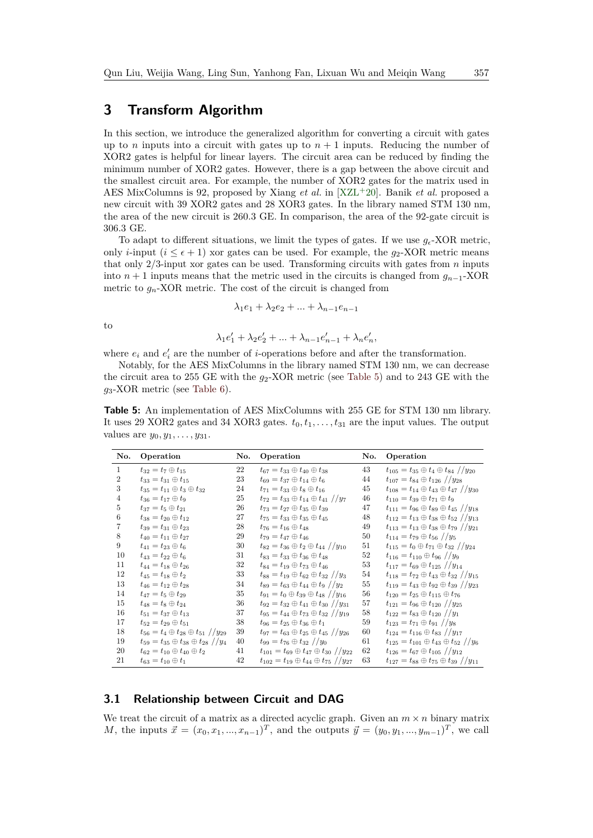# <span id="page-6-0"></span>**3 Transform Algorithm**

In this section, we introduce the generalized algorithm for converting a circuit with gates up to *n* inputs into a circuit with gates up to  $n + 1$  inputs. Reducing the number of XOR2 gates is helpful for linear layers. The circuit area can be reduced by finding the minimum number of XOR2 gates. However, there is a gap between the above circuit and the smallest circuit area. For example, the number of XOR2 gates for the matrix used in AES MixColumns is 92, proposed by Xiang *et al.* in [\[XZL](#page-27-5)<sup>+</sup>20]. Banik *et al.* proposed a new circuit with 39 XOR2 gates and 28 XOR3 gates. In the library named STM 130 nm, the area of the new circuit is 260.3 GE. In comparison, the area of the 92-gate circuit is 306.3 GE.

To adapt to different situations, we limit the types of gates. If we use  $g_{\epsilon}$ -XOR metric, only *i*-input  $(i \leq \epsilon + 1)$  xor gates can be used. For example, the  $g_2$ -XOR metric means that only 2/3-input xor gates can be used. Transforming circuits with gates from *n* inputs into  $n + 1$  inputs means that the metric used in the circuits is changed from  $g_{n-1}$ -XOR metric to  $g_n$ -XOR metric. The cost of the circuit is changed from

$$
\lambda_1 e_1 + \lambda_2 e_2 + \ldots + \lambda_{n-1} e_{n-1}
$$

to

$$
\lambda_1 e'_1 + \lambda_2 e'_2 + \ldots + \lambda_{n-1} e'_{n-1} + \lambda_n e'_n,
$$

where  $e_i$  and  $e'_i$  are the number of *i*-operations before and after the transformation.

Notably, for the AES MixColumns in the library named STM 130 nm, we can decrease the circuit area to 255 GE with the  $g_2$ -XOR metric (see [Table 5\)](#page-6-1) and to 243 GE with the *g*3-XOR metric (see [Table 6\)](#page-7-0).

<span id="page-6-1"></span>**Table 5:** An implementation of AES MixColumns with 255 GE for STM 130 nm library. It uses 29 XOR2 gates and 34 XOR3 gates.  $t_0, t_1, \ldots, t_{31}$  are the input values. The output values are *y*0*, y*1*, . . . , y*31.

| No.            | Operation                                                      | No. | Operation                                                        | No. | Operation                                                        |
|----------------|----------------------------------------------------------------|-----|------------------------------------------------------------------|-----|------------------------------------------------------------------|
| $\mathbf{1}$   | $t_{32} = t_7 \oplus t_{15}$                                   | 22  | $t_{67} = t_{33} \oplus t_{40} \oplus t_{38}$                    | 43  | $t_{105} = t_{35} \oplus t_4 \oplus t_{84}$ //y <sub>20</sub>    |
| $\overline{2}$ | $t_{33} = t_{31} \oplus t_{15}$                                | 23  | $t_{69} = t_{37} \oplus t_{14} \oplus t_{6}$                     | 44  | $t_{107} = t_{84} \oplus t_{126}$ //y <sub>28</sub>              |
| 3              | $t_{35} = t_{11} \oplus t_3 \oplus t_{32}$                     | 24  | $t_{71} = t_{33} \oplus t_8 \oplus t_{16}$                       | 45  | $t_{108} = t_{14} \oplus t_{43} \oplus t_{47}$ //y <sub>30</sub> |
| 4              | $t_{36} = t_{17} \oplus t_{9}$                                 | 25  | $t_{72} = t_{33} \oplus t_{14} \oplus t_{41}$ //y <sub>7</sub>   | 46  | $t_{110} = t_{39} \oplus t_{71} \oplus t_{9}$                    |
| 5              | $t_{37} = t_5 \oplus t_{21}$                                   | 26  | $t_{73} = t_{27} \oplus t_{35} \oplus t_{39}$                    | 47  | $t_{111} = t_{96} \oplus t_{89} \oplus t_{45}$ //y <sub>18</sub> |
| 6              | $t_{38} = t_{20} \oplus t_{12}$                                | 27  | $t_{75} = t_{33} \oplus t_{35} \oplus t_{45}$                    | 48  | $t_{112} = t_{13} \oplus t_{38} \oplus t_{52}$ //y <sub>13</sub> |
| 7              | $t_{39}=t_{31}\oplus t_{23}$                                   | 28  | $t_{76} = t_{16} \oplus t_{48}$                                  | 49  | $t_{113} = t_{13} \oplus t_{38} \oplus t_{79}$ //y <sub>21</sub> |
| 8              | $t_{40} = t_{11} \oplus t_{27}$                                | 29  | $t_{79} = t_{47} \oplus t_{46}$                                  | 50  | $t_{114} = t_{79} \oplus t_{56}$ //y <sub>5</sub>                |
| 9              | $t_{41} = t_{23} \oplus t_6$                                   | 30  | $t_{82} = t_{36} \oplus t_2 \oplus t_{44}$ //y <sub>10</sub>     | 51  | $t_{115} = t_0 \oplus t_{71} \oplus t_{32}$ //y <sub>24</sub>    |
| 10             | $t_{43} = t_{22} \oplus t_6$                                   | 31  | $t_{83} = t_{33} \oplus t_{36} \oplus t_{48}$                    | 52  | $t_{116} = t_{110} \oplus t_{96}$ //y <sub>9</sub>               |
| 11             | $t_{44} = t_{18} \oplus t_{26}$                                | 32  | $t_{84} = t_{19} \oplus t_{73} \oplus t_{46}$                    | 53  | $t_{117} = t_{69} \oplus t_{125}$ // $y_{14}$                    |
| 12             | $t_{45} = t_{18} \oplus t_2$                                   | 33  | $t_{88} = t_{19} \oplus t_{62} \oplus t_{32}$ //y <sub>3</sub>   | 54  | $t_{118} = t_{72} \oplus t_{43} \oplus t_{32}$ // $y_{15}$       |
| 13             | $t_{46} = t_{12} \oplus t_{28}$                                | 34  | $t_{89} = t_{63} \oplus t_{44} \oplus t_{9}$ //y <sub>2</sub>    | 55  | $t_{119} = t_{43} \oplus t_{92} \oplus t_{39}$ //y <sub>23</sub> |
| 14             | $t_{47} = t_5 \oplus t_{29}$                                   | 35  | $t_{91} = t_0 \oplus t_{39} \oplus t_{48}$ //y <sub>16</sub>     | 56  | $t_{120} = t_{25} \oplus t_{115} \oplus t_{76}$                  |
| 15             | $t_{48} = t_8 \oplus t_{24}$                                   | 36  | $t_{92} = t_{32} \oplus t_{41} \oplus t_{30}$ //y <sub>31</sub>  | 57  | $t_{121} = t_{96} \oplus t_{120}$ //y <sub>25</sub>              |
| 16             | $t_{51} = t_{37} \oplus t_{13}$                                | 37  | $t_{95} = t_{44} \oplus t_{73} \oplus t_{32}$ //y <sub>19</sub>  | 58  | $t_{122} = t_{83} \oplus t_{120}$ //y <sub>1</sub>               |
| 17             | $t_{52} = t_{29} \oplus t_{51}$                                | 38  | $t_{96} = t_{25} \oplus t_{36} \oplus t_{1}$                     | 59  | $t_{123} = t_{71} \oplus t_{91}$ //y <sub>8</sub>                |
| 18             | $t_{56} = t_4 \oplus t_{28} \oplus t_{51}$ //y <sub>29</sub>   | 39  | $t_{97} = t_{63} \oplus t_{25} \oplus t_{45}$ //y <sub>26</sub>  | 60  | $t_{124} = t_{116} \oplus t_{83}$ // $y_{17}$                    |
| 19             | $t_{59} = t_{35} \oplus t_{38} \oplus t_{28}$ //y <sub>4</sub> | 40  | $t_{99} = t_{76} \oplus t_{32}$ //y <sub>0</sub>                 | 61  | $t_{125} = t_{101} \oplus t_{43} \oplus t_{52}$ //y <sub>6</sub> |
| 20             | $t_{62} = t_{10} \oplus t_{40} \oplus t_2$                     | 41  | $t_{101} = t_{69} \oplus t_{47} \oplus t_{30}$ //y <sub>22</sub> | 62  | $t_{126} = t_{67} \oplus t_{105}$ // $y_{12}$                    |
| 21             | $t_{63} = t_{10} \oplus t_1$                                   | 42  | $t_{102} = t_{19} \oplus t_{44} \oplus t_{75}$ //y <sub>27</sub> | 63  | $t_{127} = t_{88} \oplus t_{75} \oplus t_{39}$ //y <sub>11</sub> |

#### **3.1 Relationship between Circuit and DAG**

We treat the circuit of a matrix as a directed acyclic graph. Given an  $m \times n$  binary matrix *M*, the inputs  $\vec{x} = (x_0, x_1, ..., x_{n-1})^T$ , and the outputs  $\vec{y} = (y_0, y_1, ..., y_{m-1})^T$ , we call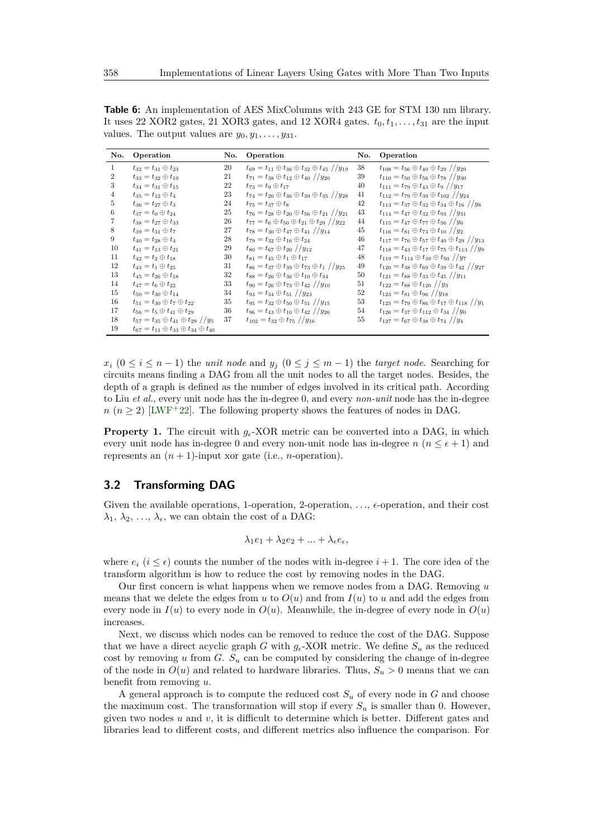<span id="page-7-0"></span>**Table 6:** An implementation of AES MixColumns with 243 GE for STM 130 nm library. It uses 22 XOR2 gates, 21 XOR3 gates, and 12 XOR4 gates.  $t_0, t_1, \ldots, t_{31}$  are the input values. The output values are  $y_0, y_1, \ldots, y_{31}$ .

| No.          | Operation                                                      | No. | Operation                                                                     | No. | Operation                                                                      |
|--------------|----------------------------------------------------------------|-----|-------------------------------------------------------------------------------|-----|--------------------------------------------------------------------------------|
| $\mathbf{1}$ | $t_{32} = t_{31} \oplus t_{23}$                                | 20  | $t_{69} = t_{11} \oplus t_{36} \oplus t_{32} \oplus t_{45}$ //y <sub>19</sub> | 38  | $t_{108} = t_{56} \oplus t_{40} \oplus t_{29}$ //y <sub>29</sub>               |
| 2            | $t_{33} = t_{32} \oplus t_{19}$                                | 21  | $t_{71} = t_{38} \oplus t_{12} \oplus t_{40}$ //y <sub>20</sub>               | 39  | $t_{110} = t_{50} \oplus t_{56} \oplus t_{78}$ //y <sub>30</sub>               |
| 3            | $t_{34} = t_{31} \oplus t_{15}$                                | 22  | $t_{73} = t_9 \oplus t_{17}$                                                  | 40  | $t_{111} = t_{79} \oplus t_{43} \oplus t_{9}$ //y <sub>17</sub>                |
| 4            | $t_{35} = t_{12} \oplus t_4$                                   | 23  | $t_{74} = t_{20} \oplus t_{36} \oplus t_{39} \oplus t_{35}$ //y <sub>28</sub> | 41  | $t_{112} = t_{79} \oplus t_{39} \oplus t_{102}$ //y <sub>24</sub>              |
| 5            | $t_{36} = t_{27} \oplus t_{3}$                                 | 24  | $t_{75} = t_{37} \oplus t_8$                                                  | 42  | $t_{113} = t_{37} \oplus t_{32} \oplus t_{34} \oplus t_{16}$ //y <sub>8</sub>  |
| 6            | $t_{37} = t_0 \oplus t_{24}$                                   | 25  | $t_{76} = t_{28} \oplus t_{20} \oplus t_{56} \oplus t_{21}$ //y <sub>21</sub> | 43  | $t_{114} = t_{47} \oplus t_{32} \oplus t_{93}$ //y <sub>31</sub>               |
| 7            | $t_{38} = t_{27} \oplus t_{33}$                                | 26  | $t_{77} = t_6 \oplus t_{50} \oplus t_{21} \oplus t_{29}$ //y <sub>22</sub>    | 44  | $t_{115} = t_{47} \oplus t_{77} \oplus t_{56}$ //y <sub>6</sub>                |
| 8            | $t_{39} = t_{31} \oplus t_7$                                   | 27  | $t_{78} = t_{30} \oplus t_{47} \oplus t_{41}$ //y <sub>14</sub>               | 45  | $t_{116} = t_{81} \oplus t_{73} \oplus t_{10}$ //y <sub>2</sub>                |
| 9            | $t_{40} = t_{28} \oplus t_4$                                   | 28  | $t_{79} = t_{32} \oplus t_{16} \oplus t_{24}$                                 | 46  | $t_{117} = t_{76} \oplus t_{57} \oplus t_{40} \oplus t_{29}$ //y <sub>13</sub> |
| 10           | $t_{41} = t_{13} \oplus t_{21}$                                | 29  | $t_{80} = t_{67} \oplus t_{20}$ // $y_{12}$                                   | 47  | $t_{118} = t_{43} \oplus t_{17} \oplus t_{75} \oplus t_{113}$ //y <sub>9</sub> |
| 11           | $t_{42} = t_2 \oplus t_{18}$                                   | 30  | $t_{81} = t_{45} \oplus t_1 \oplus t_{17}$                                    | 48  | $t_{119} = t_{114} \oplus t_{39} \oplus t_{50}$ //y <sub>7</sub>               |
| 12           | $t_{43} = t_1 \oplus t_{25}$                                   | 31  | $t_{86} = t_{37} \oplus t_{39} \oplus t_{73} \oplus t_{1}$ //y <sub>25</sub>  | 49  | $t_{120} = t_{38} \oplus t_{69} \oplus t_{39} \oplus t_{42}$ //y <sub>27</sub> |
| 13           | $t_{45} = t_{26} \oplus t_{18}$                                | 32  | $t_{88} = t_{26} \oplus t_{36} \oplus t_{10} \oplus t_{34}$                   | 50  | $t_{121} = t_{88} \oplus t_{33} \oplus t_{45}$ //y <sub>11</sub>               |
| 14           | $t_{47} = t_6 \oplus t_{22}$                                   | 33  | $t_{90} = t_{26} \oplus t_{73} \oplus t_{42}$ //y <sub>10</sub>               | 51  | $t_{122} = t_{88} \oplus t_{120}$ //y <sub>3</sub>                             |
| 15           | $t_{50} = t_{30} \oplus t_{14}$                                | 34  | $t_{93} = t_{34} \oplus t_{51}$ //y <sub>23</sub>                             | 52  | $t_{123} = t_{81} \oplus t_{96}$ // $y_{18}$                                   |
| 16           | $t_{51} = t_{30} \oplus t_7 \oplus t_{22}$                     | 35  | $t_{95} = t_{32} \oplus t_{50} \oplus t_{51}$ //y <sub>15</sub>               | 53  | $t_{125} = t_{79} \oplus t_{86} \oplus t_{17} \oplus t_{118}$ //y <sub>1</sub> |
| 17           | $t_{56} = t_5 \oplus t_{41} \oplus t_{29}$                     | 36  | $t_{96} = t_{43} \oplus t_{10} \oplus t_{42}$ //y <sub>26</sub>               | 54  | $t_{126} = t_{37} \oplus t_{112} \oplus t_{34}$ //y <sub>0</sub>               |
| 18           | $t_{57} = t_{35} \oplus t_{41} \oplus t_{29}$ //y <sub>5</sub> | 37  | $t_{102} = t_{32} \oplus t_{75}$ // $y_{16}$                                  | 55  | $t_{127} = t_{67} \oplus t_{38} \oplus t_{74}$ //y <sub>4</sub>                |
| 19           | $t_{67} = t_{11} \oplus t_{33} \oplus t_{34} \oplus t_{40}$    |     |                                                                               |     |                                                                                |

 $x_i$  ( $0 \le i \le n-1$ ) the *unit node* and  $y_j$  ( $0 \le j \le m-1$ ) the *target node*. Searching for circuits means finding a DAG from all the unit nodes to all the target nodes. Besides, the depth of a graph is defined as the number of edges involved in its critical path. According to Liu *et al.*, every unit node has the in-degree 0, and every *non-unit* node has the in-degree  $n (n \geq 2)$  [\[LWF](#page-27-7)<sup>+</sup>22]. The following property shows the features of nodes in DAG.

<span id="page-7-1"></span>**Property 1.** The circuit with  $g_e$ -XOR metric can be converted into a DAG, in which every unit node has in-degree 0 and every non-unit node has in-degree  $n (n \leq \epsilon + 1)$  and represents an  $(n + 1)$ -input xor gate (i.e., *n*-operation).

### **3.2 Transforming DAG**

Given the available operations, 1-operation,  $2$ -operation,  $\ldots$ ,  $\epsilon$ -operation, and their cost  $\lambda_1, \lambda_2, \ldots, \lambda_\epsilon$ , we can obtain the cost of a DAG:

$$
\lambda_1 e_1 + \lambda_2 e_2 + \ldots + \lambda_{\epsilon} e_{\epsilon},
$$

where  $e_i$  ( $i \leq \epsilon$ ) counts the number of the nodes with in-degree  $i + 1$ . The core idea of the transform algorithm is how to reduce the cost by removing nodes in the DAG.

Our first concern is what happens when we remove nodes from a DAG. Removing *u* means that we delete the edges from  $u$  to  $O(u)$  and from  $I(u)$  to  $u$  and add the edges from every node in  $I(u)$  to every node in  $O(u)$ . Meanwhile, the in-degree of every node in  $O(u)$ increases.

Next, we discuss which nodes can be removed to reduce the cost of the DAG. Suppose that we have a direct acyclic graph *G* with  $g_{\epsilon}$ -XOR metric. We define  $S_u$  as the reduced cost by removing *u* from *G*.  $S_u$  can be computed by considering the change of in-degree of the node in  $O(u)$  and related to hardware libraries. Thus,  $S_u > 0$  means that we can benefit from removing *u*.

A general approach is to compute the reduced cost  $S_u$  of every node in  $G$  and choose the maximum cost. The transformation will stop if every  $S_u$  is smaller than 0. However, given two nodes *u* and *v*, it is difficult to determine which is better. Different gates and libraries lead to different costs, and different metrics also influence the comparison. For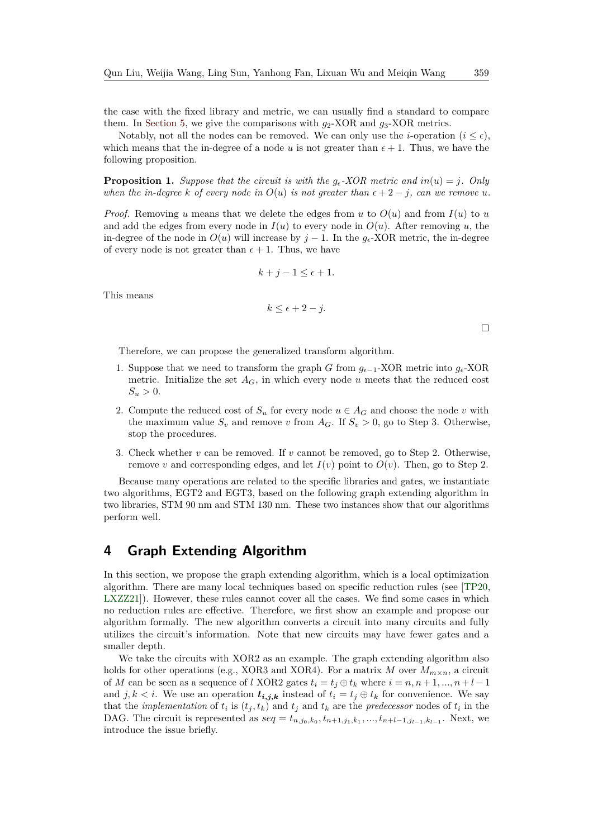the case with the fixed library and metric, we can usually find a standard to compare them. In [Section 5,](#page-14-0) we give the comparisons with *g*2-XOR and *g*3-XOR metrics.

Notably, not all the nodes can be removed. We can only use the *i*-operation  $(i \leq \epsilon)$ , which means that the in-degree of a node u is not greater than  $\epsilon + 1$ . Thus, we have the following proposition.

**Proposition 1.** Suppose that the circuit is with the  $g_{\epsilon}$ -XOR metric and  $in(u) = j$ . Only *when the in-degree k of every node in*  $O(u)$  *is not greater than*  $\epsilon + 2 - j$ *, can we remove u.* 

*Proof.* Removing *u* means that we delete the edges from *u* to  $O(u)$  and from  $I(u)$  to *u* and add the edges from every node in  $I(u)$  to every node in  $O(u)$ . After removing *u*, the in-degree of the node in  $O(u)$  will increase by  $j-1$ . In the  $g_e$ -XOR metric, the in-degree of every node is not greater than  $\epsilon + 1$ . Thus, we have

$$
k+j-1 \le \epsilon+1.
$$

This means

$$
k \le \epsilon + 2 - j.
$$

 $\Box$ 

Therefore, we can propose the generalized transform algorithm.

- 1. Suppose that we need to transform the graph *G* from *g*−1-XOR metric into *g*-XOR metric. Initialize the set  $A_G$ , in which every node  $u$  meets that the reduced cost  $S_u > 0$ .
- 2. Compute the reduced cost of  $S_u$  for every node  $u \in A_G$  and choose the node *v* with the maximum value  $S_v$  and remove *v* from  $A_G$ . If  $S_v > 0$ , go to Step 3. Otherwise, stop the procedures.
- 3. Check whether *v* can be removed. If *v* cannot be removed, go to Step 2. Otherwise, remove *v* and corresponding edges, and let  $I(v)$  point to  $O(v)$ . Then, go to Step 2.

Because many operations are related to the specific libraries and gates, we instantiate two algorithms, EGT2 and EGT3, based on the following graph extending algorithm in two libraries, STM 90 nm and STM 130 nm. These two instances show that our algorithms perform well.

# <span id="page-8-0"></span>**4 Graph Extending Algorithm**

In this section, we propose the graph extending algorithm, which is a local optimization algorithm. There are many local techniques based on specific reduction rules (see [\[TP20,](#page-27-4) [LXZZ21\]](#page-27-6)). However, these rules cannot cover all the cases. We find some cases in which no reduction rules are effective. Therefore, we first show an example and propose our algorithm formally. The new algorithm converts a circuit into many circuits and fully utilizes the circuit's information. Note that new circuits may have fewer gates and a smaller depth.

We take the circuits with XOR2 as an example. The graph extending algorithm also holds for other operations (e.g., XOR3 and XOR4). For a matrix *M* over  $M_{m \times n}$ , a circuit of *M* can be seen as a sequence of *l* XOR2 gates  $t_i = t_j \oplus t_k$  where  $i = n, n + 1, ..., n + l - 1$ and *j*,  $k < i$ . We use an operation  $t_{i,j,k}$  instead of  $t_i = t_j \oplus t_k$  for convenience. We say that the *implementation* of  $t_i$  is  $(t_j, t_k)$  and  $t_j$  and  $t_k$  are the *predecessor* nodes of  $t_i$  in the DAG. The circuit is represented as  $seq = t_{n,j_0,k_0}, t_{n+1,j_1,k_1},..., t_{n+l-1,j_{l-1},k_{l-1}}$ . Next, we introduce the issue briefly.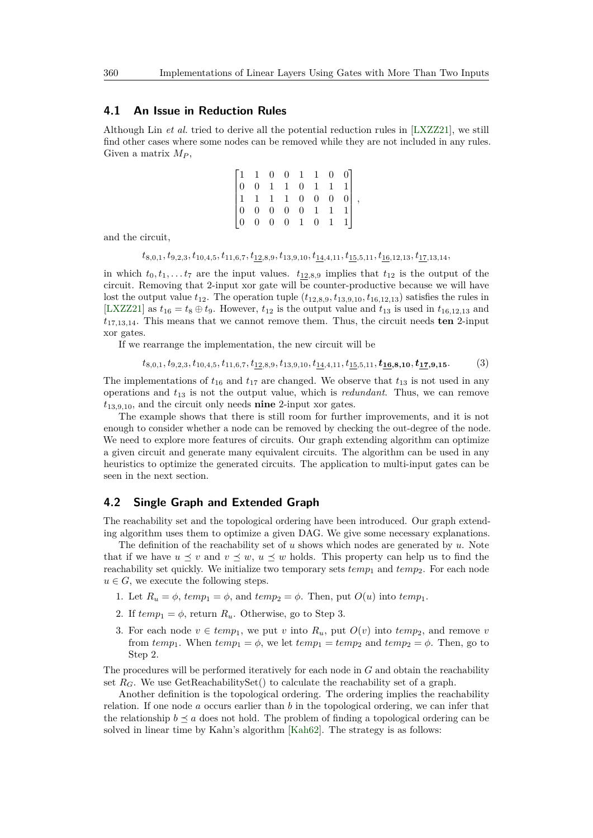#### <span id="page-9-0"></span>**4.1 An Issue in Reduction Rules**

Although Lin *et al.* tried to derive all the potential reduction rules in [\[LXZZ21\]](#page-27-6), we still find other cases where some nodes can be removed while they are not included in any rules. Given a matrix *M<sup>P</sup>* ,

|  |  | $\begin{bmatrix} 1 & 1 & 0 & 0 & 1 & 1 & 0 & 0 \\ 0 & 0 & 1 & 1 & 0 & 1 & 1 & 1 \\ 1 & 1 & 1 & 1 & 0 & 0 & 0 & 0 \\ 0 & 0 & 0 & 0 & 0 & 1 & 1 & 1 \\ 0 & 0 & 0 & 0 & 1 & 0 & 1 & 1 \end{bmatrix}$ |  |  |  |
|--|--|---------------------------------------------------------------------------------------------------------------------------------------------------------------------------------------------------|--|--|--|

and the circuit,

 $t_{8.0.1}, t_{9.2.3}, t_{10,4.5}, t_{11,6.7}, t_{12,8,9}, t_{13,9,10}, t_{\underline{14},4,11}, t_{\underline{15},5,11}, t_{\underline{16},12,13}, t_{\underline{17},13,14},$ 

in which  $t_0, t_1, \ldots t_7$  are the input values.  $t_{12,8,9}$  implies that  $t_{12}$  is the output of the circuit. Removing that 2-input xor gate will be counter-productive because we will have lost the output value  $t_{12}$ . The operation tuple  $(t_{12,8,9}, t_{13,9,10}, t_{16,12,13})$  satisfies the rules in [\[LXZZ21\]](#page-27-6) as  $t_{16} = t_8 \oplus t_9$ . However,  $t_{12}$  is the output value and  $t_{13}$  is used in  $t_{16,12,13}$  and *t*17*,*13*,*14. This means that we cannot remove them. Thus, the circuit needs **ten** 2-input xor gates.

If we rearrange the implementation, the new circuit will be

<span id="page-9-1"></span>
$$
t_{8,0,1}, t_{9,2,3}, t_{10,4,5}, t_{11,6,7}, t_{\underline{12},8,9}, t_{13,9,10}, t_{\underline{14},4,11}, t_{\underline{15},5,11}, \mathbf{t_{\underline{16},8,10}}, t_{\underline{17},9,15}.\tag{3}
$$

The implementations of  $t_{16}$  and  $t_{17}$  are changed. We observe that  $t_{13}$  is not used in any operations and *t*<sup>13</sup> is not the output value, which is *redundant*. Thus, we can remove *t*13*,*9*,*10, and the circuit only needs **nine** 2-input xor gates.

The example shows that there is still room for further improvements, and it is not enough to consider whether a node can be removed by checking the out-degree of the node. We need to explore more features of circuits. Our graph extending algorithm can optimize a given circuit and generate many equivalent circuits. The algorithm can be used in any heuristics to optimize the generated circuits. The application to multi-input gates can be seen in the next section.

### **4.2 Single Graph and Extended Graph**

The reachability set and the topological ordering have been introduced. Our graph extending algorithm uses them to optimize a given DAG. We give some necessary explanations.

The definition of the reachability set of *u* shows which nodes are generated by *u*. Note that if we have  $u \leq v$  and  $v \leq w$ ,  $u \leq w$  holds. This property can help us to find the reachability set quickly. We initialize two temporary sets  $temp_1$  and  $temp_2$ . For each node  $u \in G$ , we execute the following steps.

- 1. Let  $R_u = \phi$ ,  $temp_1 = \phi$ , and  $temp_2 = \phi$ . Then, put  $O(u)$  into  $temp_1$ .
- 2. If  $temp_1 = \phi$ , return  $R_u$ . Otherwise, go to Step 3.
- 3. For each node  $v \in temp_1$ , we put *v* into  $R_u$ , put  $O(v)$  into  $temp_2$ , and remove *v* from  $temp_1$ . When  $temp_1 = \phi$ , we let  $temp_1 = temp_2$  and  $temp_2 = \phi$ . Then, go to Step 2.

The procedures will be performed iteratively for each node in *G* and obtain the reachability set  $R_G$ . We use GetReachabilitySet() to calculate the reachability set of a graph.

Another definition is the topological ordering. The ordering implies the reachability relation. If one node *a* occurs earlier than *b* in the topological ordering, we can infer that the relationship  $b \preceq a$  does not hold. The problem of finding a topological ordering can be solved in linear time by Kahn's algorithm [\[Kah62\]](#page-26-11). The strategy is as follows: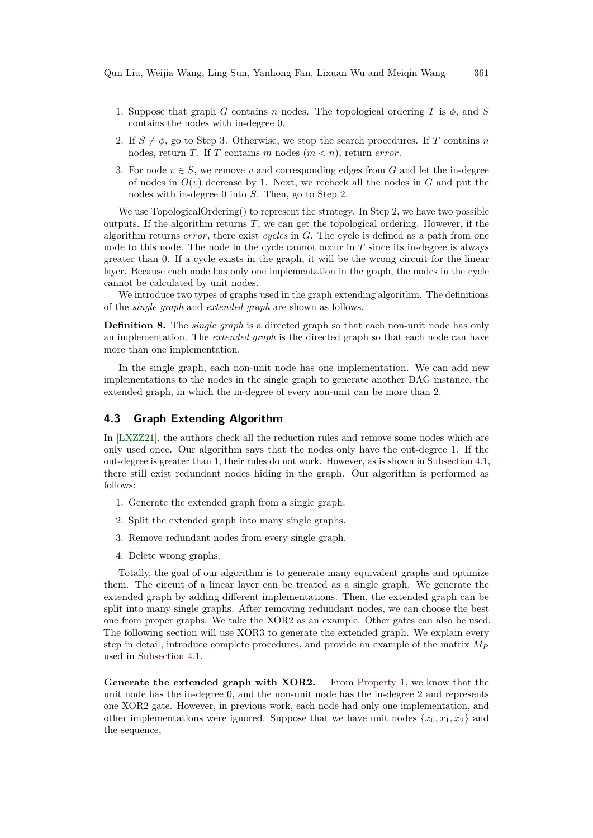- 1. Suppose that graph *G* contains *n* nodes. The topological ordering *T* is *φ*, and *S* contains the nodes with in-degree 0.
- 2. If  $S \neq \phi$ , go to Step 3. Otherwise, we stop the search procedures. If *T* contains *n* nodes, return *T*. If *T* contains *m* nodes (*m < n*), return *error*.
- 3. For node  $v \in S$ , we remove *v* and corresponding edges from *G* and let the in-degree of nodes in  $O(v)$  decrease by 1. Next, we recheck all the nodes in  $G$  and put the nodes with in-degree 0 into *S*. Then, go to Step 2.

We use TopologicalOrdering() to represent the strategy. In Step 2, we have two possible outputs. If the algorithm returns *T*, we can get the topological ordering. However, if the algorithm returns *error*, there exist *cycles* in *G*. The cycle is defined as a path from one node to this node. The node in the cycle cannot occur in *T* since its in-degree is always greater than 0. If a cycle exists in the graph, it will be the wrong circuit for the linear layer. Because each node has only one implementation in the graph, the nodes in the cycle cannot be calculated by unit nodes.

We introduce two types of graphs used in the graph extending algorithm. The definitions of the *single graph* and *extended graph* are shown as follows.

**Definition 8.** The *single graph* is a directed graph so that each non-unit node has only an implementation. The *extended graph* is the directed graph so that each node can have more than one implementation.

In the single graph, each non-unit node has one implementation. We can add new implementations to the nodes in the single graph to generate another DAG instance, the extended graph, in which the in-degree of every non-unit can be more than 2.

### **4.3 Graph Extending Algorithm**

In [\[LXZZ21\]](#page-27-6), the authors check all the reduction rules and remove some nodes which are only used once. Our algorithm says that the nodes only have the out-degree 1. If the out-degree is greater than 1, their rules do not work. However, as is shown in [Subsection 4.1,](#page-9-0) there still exist redundant nodes hiding in the graph. Our algorithm is performed as follows:

- 1. Generate the extended graph from a single graph.
- 2. Split the extended graph into many single graphs.
- 3. Remove redundant nodes from every single graph.
- 4. Delete wrong graphs.

Totally, the goal of our algorithm is to generate many equivalent graphs and optimize them. The circuit of a linear layer can be treated as a single graph. We generate the extended graph by adding different implementations. Then, the extended graph can be split into many single graphs. After removing redundant nodes, we can choose the best one from proper graphs. We take the XOR2 as an example. Other gates can also be used. The following section will use XOR3 to generate the extended graph. We explain every step in detail, introduce complete procedures, and provide an example of the matrix *M<sup>P</sup>* used in [Subsection 4.1.](#page-9-0)

**Generate the extended graph with XOR2.** From [Property 1,](#page-7-1) we know that the unit node has the in-degree 0, and the non-unit node has the in-degree 2 and represents one XOR2 gate. However, in previous work, each node had only one implementation, and other implementations were ignored. Suppose that we have unit nodes  $\{x_0, x_1, x_2\}$  and the sequence,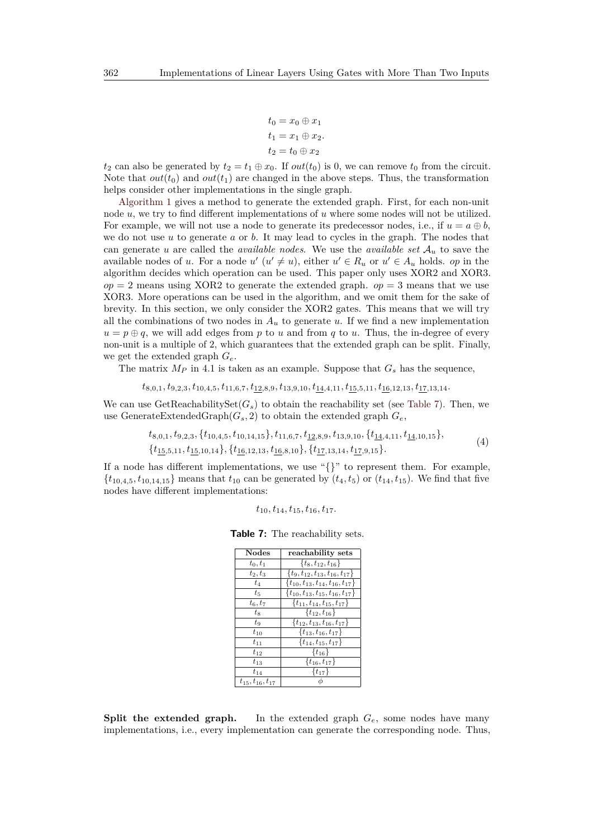$$
t_0 = x_0 \oplus x_1
$$
  

$$
t_1 = x_1 \oplus x_2.
$$
  

$$
t_2 = t_0 \oplus x_2
$$

 $t_2$  can also be generated by  $t_2 = t_1 \oplus x_0$ . If  $out(t_0)$  is 0, we can remove  $t_0$  from the circuit. Note that  $out(t_0)$  and  $out(t_1)$  are changed in the above steps. Thus, the transformation helps consider other implementations in the single graph.

[Algorithm 1](#page-12-0) gives a method to generate the extended graph. First, for each non-unit node *u*, we try to find different implementations of *u* where some nodes will not be utilized. For example, we will not use a node to generate its predecessor nodes, i.e., if  $u = a \oplus b$ , we do not use *u* to generate *a* or *b*. It may lead to cycles in the graph. The nodes that can generate *u* are called the *available nodes*. We use the *available set*  $A_u$  to save the available nodes of *u*. For a node  $u'$   $(u' \neq u)$ , either  $u' \in R_u$  or  $u' \in A_u$  holds. *op* in the algorithm decides which operation can be used. This paper only uses XOR2 and XOR3.  $op = 2$  means using XOR2 to generate the extended graph.  $op = 3$  means that we use XOR3. More operations can be used in the algorithm, and we omit them for the sake of brevity. In this section, we only consider the XOR2 gates. This means that we will try all the combinations of two nodes in  $A_u$  to generate  $u$ . If we find a new implementation  $u = p \oplus q$ , we will add edges from *p* to *u* and from *q* to *u*. Thus, the in-degree of every non-unit is a multiple of 2, which guarantees that the extended graph can be split. Finally, we get the extended graph *Ge*.

The matrix  $M_P$  in 4.1 is taken as an example. Suppose that  $G_s$  has the sequence,

$$
t_{8,0,1}, t_{9,2,3}, t_{10,4,5}, t_{11,6,7}, t_{\underline{12},8,9}, t_{13,9,10}, t_{\underline{14},4,11}, t_{\underline{15},5,11}, t_{\underline{16},12,13}, t_{\underline{17},13,14}.
$$

We can use GetReachabilitySet $(G_s)$  to obtain the reachability set (see [Table 7\)](#page-11-0). Then, we use GenerateExtendedGraph $(G_s, 2)$  to obtain the extended graph  $G_e$ ,

<span id="page-11-1"></span>
$$
t_{8,0,1}, t_{9,2,3}, \{t_{10,4,5}, t_{10,14,15}\}, t_{11,6,7}, t_{\underline{12,8,9}}, t_{13,9,10}, \{t_{\underline{14,4,11}}, t_{\underline{14,10,15}}\},\{t_{15,5,11}, t_{15,10,14}\}, \{t_{16,12,13}, t_{16,8,10}\}, \{t_{17,13,14}, t_{17,9,15}\}.
$$
\n
$$
(4)
$$

<span id="page-11-0"></span>If a node has different implementations, we use " $\}$ " to represent them. For example,  ${t_{10,4,5}, t_{10,14,15}$  means that  $t_{10}$  can be generated by  $(t_4, t_5)$  or  $(t_{14}, t_{15})$ . We find that five nodes have different implementations:

$$
t_{10}, t_{14}, t_{15}, t_{16}, t_{17}.
$$

**Table 7:** The reachability sets.

| <b>Nodes</b>             | reachability sets                            |
|--------------------------|----------------------------------------------|
| $t_0, t_1$               | $\{t_8, t_{12}, t_{16}\}\$                   |
| $t_2, t_3$               | $\{t_9, t_{12}, t_{13}, t_{16}, t_{17}\}$    |
| $t_4$                    | $\{t_{10}, t_{13}, t_{14}, t_{16}, t_{17}\}$ |
| $t_{5}$                  | $\{t_{10}, t_{13}, t_{15}, t_{16}, t_{17}\}$ |
| $t_6, t_7$               | $\{t_{11}, t_{14}, t_{15}, t_{17}\}$         |
| $t_8$                    | $\{t_{12}, t_{16}\}\$                        |
| $t_{9}$                  | $\{t_{12}, t_{13}, t_{16}, t_{17}\}$         |
| $t_{10}$                 | $\{t_{13}, t_{16}, t_{17}\}$                 |
| $t_{11}$                 | $\{t_{14}, t_{15}, t_{17}\}$                 |
| $t_{12}$                 | $\{t_{16}\}\$                                |
| $t_{13}$                 | $\{t_{16}, t_{17}\}$                         |
| $t_{14}$                 | $\{t_{17}\}\$                                |
| $t_{15}, t_{16}, t_{17}$ |                                              |

**Split the extended graph.** In the extended graph  $G_e$ , some nodes have many implementations, i.e., every implementation can generate the corresponding node. Thus,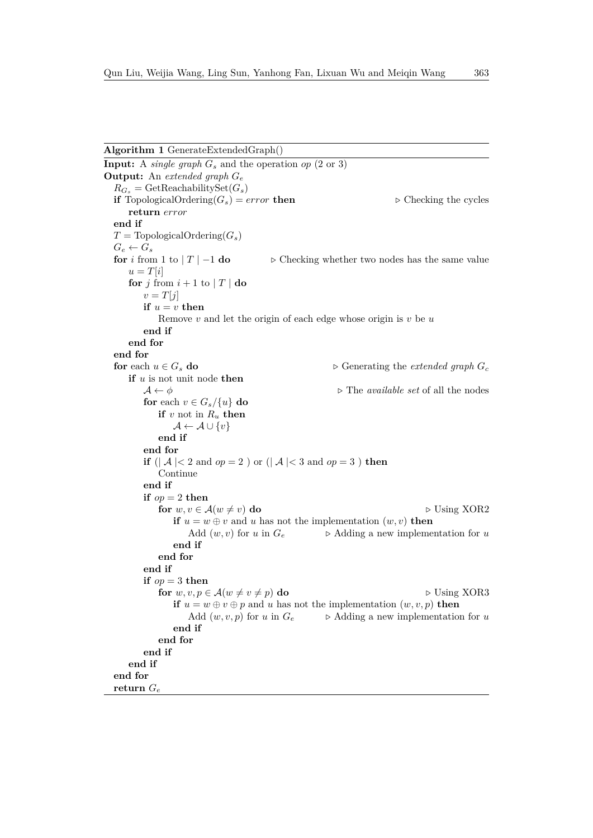#### <span id="page-12-0"></span>**Algorithm 1** GenerateExtendedGraph()

**Input:** A *single graph*  $G_s$  and the operation *op* (2 or 3) **Output:** An *extended graph G<sup>e</sup>*  $R_{G_s}$  = GetReachabilitySet $(G_s)$ **if** TopologicalOrdering( $G_s$ ) = *error* **then**  $\triangleright$  Checking the cycles **return** *error* **end if**  $T = \text{TopologicalOrdering}(G_s)$  $G_e \leftarrow G_s$ **for** *i* from 1 to  $|T| - 1$  **do**  $\rightarrow$  Checking whether two nodes has the same value  $u = T[i]$ **for**  $j$  from  $i + 1$  to  $|T|$  **do**  $v = T[j]$ **if**  $u = v$  **then** Remove *v* and let the origin of each edge whose origin is *v* be *u* **end if end for end for for** each  $u \in G_s$  **do**  $\triangleright$  Generating the *extended graph*  $G_c$ **if** *u* is not unit node **then**  $A \leftarrow \phi$  **b** The *available set* of all the nodes **for** each  $v \in G_s/\{u\}$  **do if**  $v$  not in  $R_u$  **then**  $\mathcal{A} \leftarrow \mathcal{A} \cup \{v\}$ **end if end for if** ( $| \mathcal{A} | < 2$  and  $op = 2$  ) or ( $| \mathcal{A} | < 3$  and  $op = 3$  ) **then** Continue **end if if**  $op = 2$  **then for**  $w, v \in A(w \neq v)$  **do**  $\triangleright$  Using XOR2 **if**  $u = w \oplus v$  and *u* has not the implementation  $(w, v)$  **then** Add  $(w, v)$  for *u* in  $G_e$   $\rightarrow$  Adding a new implementation for *u* **end if end for end if if**  $op = 3$  **then for**  $w, v, p \in \mathcal{A}(w \neq v \neq p)$  **do**  $\triangleright$  Using XOR3 **if**  $u = w \oplus v \oplus p$  and *u* has not the implementation  $(w, v, p)$  **then** Add  $(w, v, p)$  for  $u$  in  $G_e$   $\longrightarrow$  Adding a new implementation for  $u$ **end if end for end if end if end for return** *G<sup>e</sup>*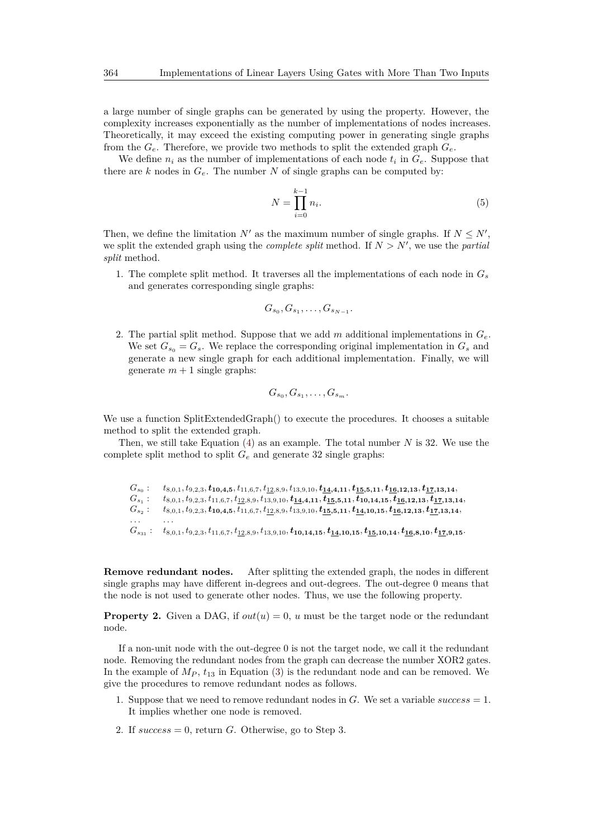a large number of single graphs can be generated by using the property. However, the complexity increases exponentially as the number of implementations of nodes increases. Theoretically, it may exceed the existing computing power in generating single graphs from the *Ge*. Therefore, we provide two methods to split the extended graph *Ge*.

We define  $n_i$  as the number of implementations of each node  $t_i$  in  $G_e$ . Suppose that there are  $k$  nodes in  $G_e$ . The number  $N$  of single graphs can be computed by:

$$
N = \prod_{i=0}^{k-1} n_i.
$$
\n
$$
(5)
$$

Then, we define the limitation  $N'$  as the maximum number of single graphs. If  $N \leq N'$ , we split the extended graph using the *complete split* method. If  $N > N'$ , we use the *partial split* method.

1. The complete split method. It traverses all the implementations of each node in  $G_s$ and generates corresponding single graphs:

$$
G_{s_0}, G_{s_1}, \ldots, G_{s_{N-1}}.
$$

2. The partial split method. Suppose that we add *m* additional implementations in *Ge*. We set  $G_{s_0} = G_s$ . We replace the corresponding original implementation in  $G_s$  and generate a new single graph for each additional implementation. Finally, we will generate  $m + 1$  single graphs:

$$
G_{s_0}, G_{s_1}, \ldots, G_{s_m}.
$$

We use a function SplitExtendedGraph() to execute the procedures. It chooses a suitable method to split the extended graph.

Then, we still take Equation [\(4\)](#page-11-1) as an example. The total number *N* is 32. We use the complete split method to split  $G_e$  and generate 32 single graphs:

 $G_{s_0}$ :  $t_{8,0,1}, t_{9,2,3}, t_{10,4,5}, t_{11,6,7}, t_{12,8,9}, t_{13,9,10}, t_{14,4,11}, t_{15,5,11}, t_{16,12,13}, t_{17,13,14},$  $G_{s_1}$  :  $t_{8,0,1}, t_{9,2,3}, t_{11,6,7}, t_{12,8,9}, t_{13,9,10}, t_{14,4,11}, t_{15,5,11}, t_{10,14,15}, t_{16,12,13}, t_{17,13,14},$  $G_{s_2}$ :  $t_{8,0,1}, t_{9,2,3}, t_{10,4,5}, t_{11,6,7}, t_{12,8,9}, t_{13,9,10}, t_{15,5,11}, t_{14,10,15}, t_{16,12,13}, t_{17,13,14},$ *. . . . . .*  $G_{s_{31}}: t_{8,0,1}, t_{9,2,3}, t_{11,6,7}, t_{12,8,9}, t_{13,9,10}, t_{10,14,15}, t_{14,10,15}, t_{15,10,14}, t_{16,8,10}, t_{17,9,15}.$ 

**Remove redundant nodes.** After splitting the extended graph, the nodes in different single graphs may have different in-degrees and out-degrees. The out-degree 0 means that the node is not used to generate other nodes. Thus, we use the following property.

**Property 2.** Given a DAG, if  $out(u) = 0$ , *u* must be the target node or the redundant node.

If a non-unit node with the out-degree 0 is not the target node, we call it the redundant node. Removing the redundant nodes from the graph can decrease the number XOR2 gates. In the example of  $M_P$ ,  $t_{13}$  in Equation [\(3\)](#page-9-1) is the redundant node and can be removed. We give the procedures to remove redundant nodes as follows.

- 1. Suppose that we need to remove redundant nodes in *G*. We set a variable *success* = 1. It implies whether one node is removed.
- 2. If *success* = 0, return *G*. Otherwise, go to Step 3.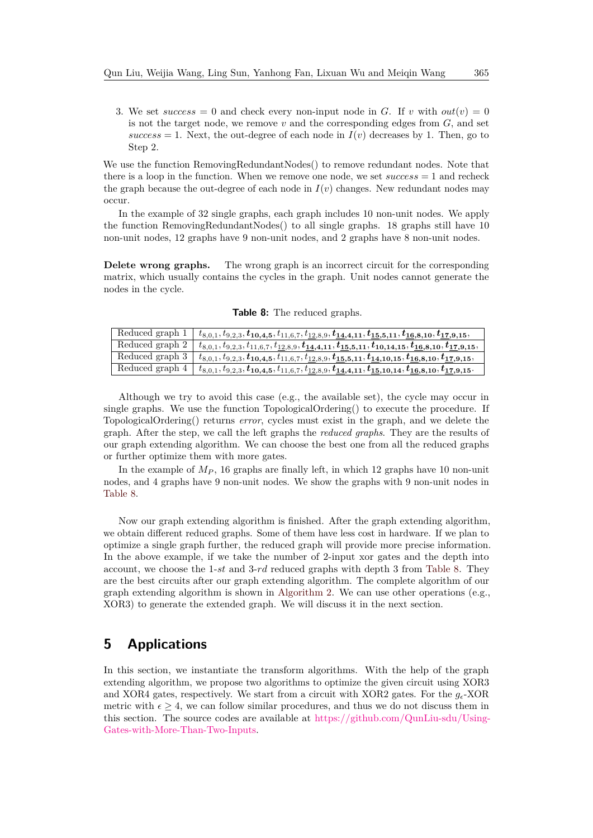3. We set  $success = 0$  and check every non-input node in *G*. If *v* with  $out(v) = 0$ is not the target node, we remove *v* and the corresponding edges from *G*, and set  $success = 1$ . Next, the out-degree of each node in  $I(v)$  decreases by 1. Then, go to Step 2.

We use the function RemovingRedundantNodes() to remove redundant nodes. Note that there is a loop in the function. When we remove one node, we set *success* = 1 and recheck the graph because the out-degree of each node in  $I(v)$  changes. New redundant nodes may occur.

In the example of 32 single graphs, each graph includes 10 non-unit nodes. We apply the function RemovingRedundantNodes() to all single graphs. 18 graphs still have 10 non-unit nodes, 12 graphs have 9 non-unit nodes, and 2 graphs have 8 non-unit nodes.

**Delete wrong graphs.** The wrong graph is an incorrect circuit for the corresponding matrix, which usually contains the cycles in the graph. Unit nodes cannot generate the nodes in the cycle.

<span id="page-14-1"></span>

| Reduced graph 1 | $t_{8,0,1}, t_{9,2,3}, t_{10,4,5}, t_{11,6,7}, t_{12,8,9}, t_{14,4,11}, t_{15,5,11}, t_{16,8,10}, t_{17,9,15},$   |
|-----------------|-------------------------------------------------------------------------------------------------------------------|
| Reduced graph 2 | $t_{8,0,1}, t_{9,2,3}, t_{11,6,7}, t_{12,8,9}, t_{14,4,11}, t_{15,5,11}, t_{10,14,15}, t_{16,8,10}, t_{17,9,15},$ |
| Reduced graph 3 | $t_{8,0,1}, t_{9,2,3}, t_{10,4,5}, t_{11,6,7}, t_{12,8,9}, t_{15,5,11}, t_{14,10,15}, t_{16,8,10}, t_{17,9,15},$  |
| Reduced graph 4 | $t_{8,0,1}, t_{9,2,3}, t_{10,4,5}, t_{11,6,7}, t_{12,8,9}, t_{14,4,11}, t_{15,10,14}, t_{16,8,10}, t_{17,9,15}.$  |

**Table 8:** The reduced graphs.

Although we try to avoid this case (e.g., the available set), the cycle may occur in single graphs. We use the function TopologicalOrdering() to execute the procedure. If TopologicalOrdering() returns *error*, cycles must exist in the graph, and we delete the graph. After the step, we call the left graphs the *reduced graphs*. They are the results of our graph extending algorithm. We can choose the best one from all the reduced graphs or further optimize them with more gates.

In the example of  $M_P$ , 16 graphs are finally left, in which 12 graphs have 10 non-unit nodes, and 4 graphs have 9 non-unit nodes. We show the graphs with 9 non-unit nodes in [Table 8.](#page-14-1)

Now our graph extending algorithm is finished. After the graph extending algorithm, we obtain different reduced graphs. Some of them have less cost in hardware. If we plan to optimize a single graph further, the reduced graph will provide more precise information. In the above example, if we take the number of 2-input xor gates and the depth into account, we choose the 1-*st* and 3-*rd* reduced graphs with depth 3 from [Table 8.](#page-14-1) They are the best circuits after our graph extending algorithm. The complete algorithm of our graph extending algorithm is shown in [Algorithm 2.](#page-15-0) We can use other operations (e.g., XOR3) to generate the extended graph. We will discuss it in the next section.

# <span id="page-14-0"></span>**5 Applications**

In this section, we instantiate the transform algorithms. With the help of the graph extending algorithm, we propose two algorithms to optimize the given circuit using XOR3 and XOR4 gates, respectively. We start from a circuit with XOR2 gates. For the  $g_{\epsilon}$ -XOR metric with  $\epsilon \geq 4$ , we can follow similar procedures, and thus we do not discuss them in this section. The source codes are available at [https://github.com/QunLiu-sdu/Using-](https://github.com/QunLiu-sdu/Using-Gates-with-More-Than-Two-Inputs)[Gates-with-More-Than-Two-Inputs.](https://github.com/QunLiu-sdu/Using-Gates-with-More-Than-Two-Inputs)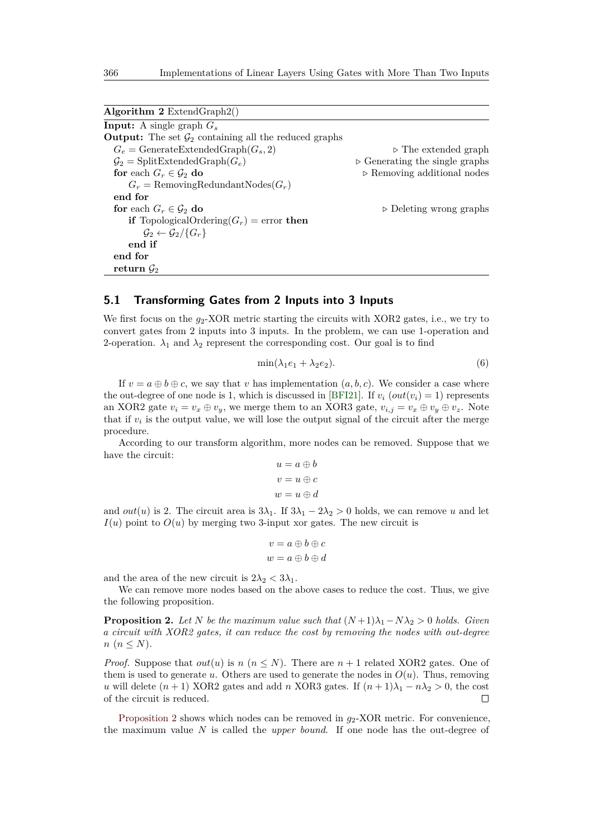<span id="page-15-0"></span>

| <b>Input:</b> A single graph $G_s$                                       |                                               |
|--------------------------------------------------------------------------|-----------------------------------------------|
| <b>Output:</b> The set $\mathcal{G}_2$ containing all the reduced graphs |                                               |
| $G_e = \text{GenerateExtendedGraph}(G_s, 2)$                             | $\triangleright$ The extended graph           |
| $\mathcal{G}_2 = \text{SplitExtendedGraph}(G_e)$                         | $\triangleright$ Generating the single graphs |
| for each $G_r \in \mathcal{G}_2$ do                                      | $\triangleright$ Removing additional nodes    |
| $G_r =$ RemovingRedundantNodes $(G_r)$                                   |                                               |
| end for                                                                  |                                               |
| for each $G_r \in \mathcal{G}_2$ do                                      | $\triangleright$ Deleting wrong graphs        |
| <b>if</b> TopologicalOrdering( $G_r$ ) = error <b>then</b>               |                                               |
| $\mathcal{G}_2 \leftarrow \mathcal{G}_2 / \{G_r\}$                       |                                               |
| end if                                                                   |                                               |
| end for                                                                  |                                               |
| return $\mathcal{G}_2$                                                   |                                               |

## **5.1 Transforming Gates from 2 Inputs into 3 Inputs**

We first focus on the  $g_2$ -XOR metric starting the circuits with XOR2 gates, i.e., we try to convert gates from 2 inputs into 3 inputs. In the problem, we can use 1-operation and 2-operation.  $\lambda_1$  and  $\lambda_2$  represent the corresponding cost. Our goal is to find

$$
\min(\lambda_1 e_1 + \lambda_2 e_2). \tag{6}
$$

If  $v = a \oplus b \oplus c$ , we say that *v* has implementation  $(a, b, c)$ . We consider a case where the out-degree of one node is 1, which is discussed in [\[BFI21\]](#page-25-4). If  $v_i$  ( $out(v_i) = 1$ ) represents an XOR2 gate  $v_i = v_x \oplus v_y$ , we merge them to an XOR3 gate,  $v_{i,j} = v_x \oplus v_y \oplus v_z$ . Note that if  $v_i$  is the output value, we will lose the output signal of the circuit after the merge procedure.

According to our transform algorithm, more nodes can be removed. Suppose that we have the circuit:

$$
u = a \oplus b
$$

$$
v = u \oplus c
$$

$$
w = u \oplus d
$$

and *out*(*u*) is 2. The circuit area is  $3\lambda_1$ . If  $3\lambda_1 - 2\lambda_2 > 0$  holds, we can remove *u* and let  $I(u)$  point to  $O(u)$  by merging two 3-input xor gates. The new circuit is

$$
v = a \oplus b \oplus c
$$
  

$$
w = a \oplus b \oplus d
$$

and the area of the new circuit is  $2\lambda_2 < 3\lambda_1$ .

We can remove more nodes based on the above cases to reduce the cost. Thus, we give the following proposition.

<span id="page-15-1"></span>**Proposition 2.** *Let*  $N$  *be the maximum value such that*  $(N+1)\lambda_1 - N\lambda_2 > 0$  *holds. Given a circuit with XOR2 gates, it can reduce the cost by removing the nodes with out-degree*  $n (n \leq N)$ .

*Proof.* Suppose that  $out(u)$  is *n* ( $n \leq N$ ). There are  $n + 1$  related XOR2 gates. One of them is used to generate *u*. Others are used to generate the nodes in  $O(u)$ . Thus, removing *u* will delete  $(n+1)$  XOR2 gates and add *n* XOR3 gates. If  $(n+1)\lambda_1 - n\lambda_2 > 0$ , the cost of the circuit is reduced.  $\Box$ 

[Proposition 2](#page-15-1) shows which nodes can be removed in  $g_2$ -XOR metric. For convenience, the maximum value *N* is called the *upper bound*. If one node has the out-degree of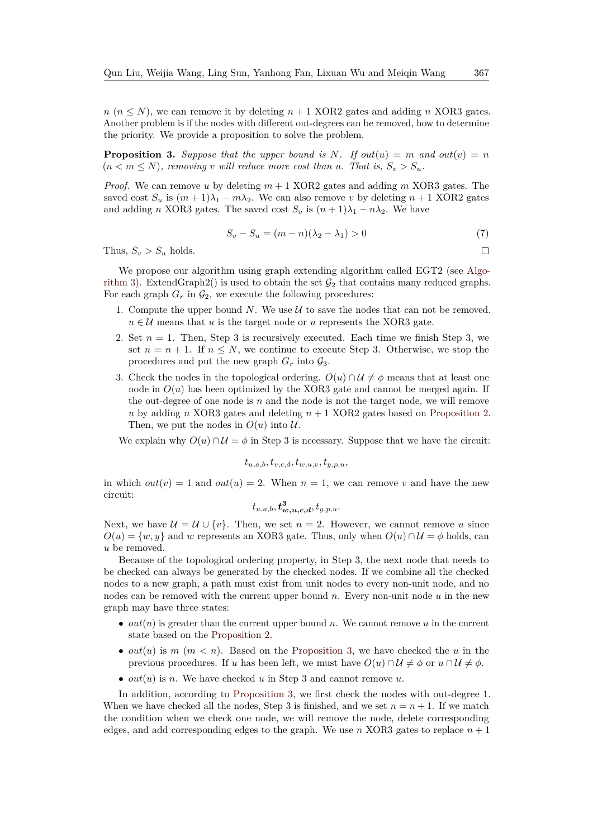$n (n \leq N)$ , we can remove it by deleting  $n + 1$  XOR2 gates and adding *n* XOR3 gates. Another problem is if the nodes with different out-degrees can be removed, how to determine the priority. We provide a proposition to solve the problem.

<span id="page-16-0"></span>**Proposition 3.** Suppose that the upper bound is N. If  $out(u) = m$  and  $out(v) = n$  $(n < m \leq N)$ , removing *v* will reduce more cost than *u*. That is,  $S_v > S_u$ .

*Proof.* We can remove *u* by deleting  $m + 1$  XOR2 gates and adding  $m$  XOR3 gates. The saved cost  $S_u$  is  $(m+1)\lambda_1 - m\lambda_2$ . We can also remove *v* by deleting  $n+1$  XOR2 gates and adding *n* XOR3 gates. The saved cost  $S_v$  is  $(n+1)\lambda_1 - n\lambda_2$ . We have

$$
S_v - S_u = (m - n)(\lambda_2 - \lambda_1) > 0
$$
\n(7)

Thus,  $S_v > S_u$  holds.

We propose our algorithm using graph extending algorithm called EGT2 (see [Algo](#page-17-0)[rithm 3\)](#page-17-0). ExtendGraph2() is used to obtain the set  $G_2$  that contains many reduced graphs. For each graph  $G_r$  in  $\mathcal{G}_2$ , we execute the following procedures:

- 1. Compute the upper bound  $N$ . We use  $\mathcal U$  to save the nodes that can not be removed.  $u \in \mathcal{U}$  means that *u* is the target node or *u* represents the XOR3 gate.
- 2. Set  $n = 1$ . Then, Step 3 is recursively executed. Each time we finish Step 3, we set  $n = n + 1$ . If  $n \leq N$ , we continue to execute Step 3. Otherwise, we stop the procedures and put the new graph  $G_r$  into  $\mathcal{G}_3$ .
- 3. Check the nodes in the topological ordering.  $O(u) \cap \mathcal{U} \neq \phi$  means that at least one node in  $O(u)$  has been optimized by the XOR3 gate and cannot be merged again. If the out-degree of one node is  $n$  and the node is not the target node, we will remove *u* by adding *n* XOR3 gates and deleting *n* + 1 XOR2 gates based on [Proposition 2.](#page-15-1) Then, we put the nodes in  $O(u)$  into  $U$ .

We explain why  $O(u) \cap \mathcal{U} = \phi$  in Step 3 is necessary. Suppose that we have the circuit:

$$
t_{u,a,b}, t_{v,c,d}, t_{w,u,v}, t_{y,p,u},
$$

in which  $out(v) = 1$  and  $out(u) = 2$ . When  $n = 1$ , we can remove v and have the new circuit:

$$
t_{u,a,b}, \boldsymbol{t_{w,u,c,d}^3}, t_{y,p,u}.
$$

Next, we have  $\mathcal{U} = \mathcal{U} \cup \{v\}$ . Then, we set  $n = 2$ . However, we cannot remove *u* since  $O(u) = \{w, y\}$  and *w* represents an XOR3 gate. Thus, only when  $O(u) \cap \mathcal{U} = \phi$  holds, can *u* be removed.

Because of the topological ordering property, in Step 3, the next node that needs to be checked can always be generated by the checked nodes. If we combine all the checked nodes to a new graph, a path must exist from unit nodes to every non-unit node, and no nodes can be removed with the current upper bound *n*. Every non-unit node *u* in the new graph may have three states:

- *out*(*u*) is greater than the current upper bound *n*. We cannot remove *u* in the current state based on the [Proposition 2.](#page-15-1)
- $out(u)$  is  $m (m < n)$ . Based on the [Proposition 3,](#page-16-0) we have checked the *u* in the previous procedures. If *u* has been left, we must have  $O(u) \cap U \neq \phi$  or  $u \cap U \neq \phi$ .
- $out(u)$  is *n*. We have checked *u* in Step 3 and cannot remove *u*.

In addition, according to [Proposition 3,](#page-16-0) we first check the nodes with out-degree 1. When we have checked all the nodes, Step 3 is finished, and we set  $n = n + 1$ . If we match the condition when we check one node, we will remove the node, delete corresponding edges, and add corresponding edges to the graph. We use *n* XOR3 gates to replace  $n + 1$ 

 $\Box$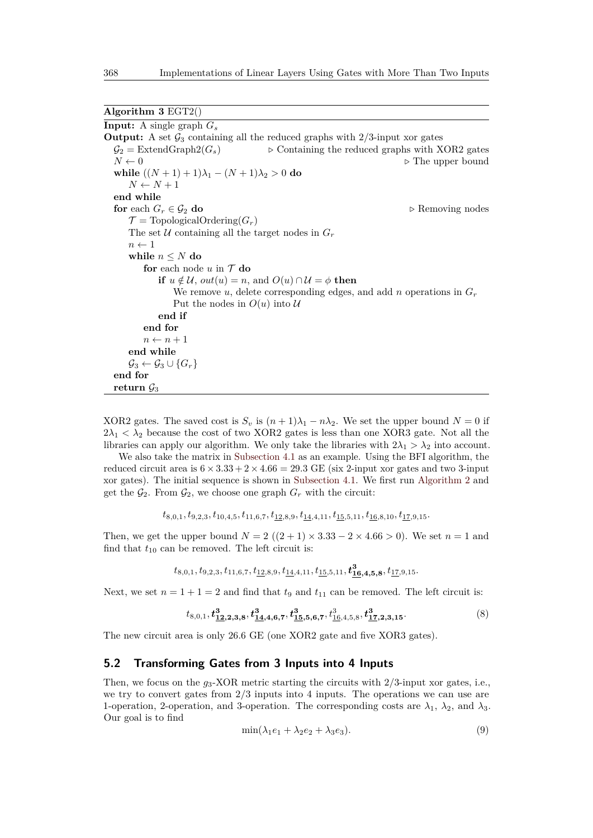<span id="page-17-0"></span>

| Algorithm $3 EGT2()$ |  |
|----------------------|--|
|----------------------|--|

**Input:** A single graph *G<sup>s</sup>* **Output:** A set  $\mathcal{G}_3$  containing all the reduced graphs with  $2/3$ -input xor gates  $\mathcal{G}_2$  = ExtendGraph2( $G_s$ )  $\triangleright$  Containing the reduced graphs with XOR2 gates  $N \leftarrow 0$  **.** The upper bound **while**  $((N + 1) + 1)\lambda_1 - (N + 1)\lambda_2 > 0$  **do**  $N \leftarrow N + 1$ **end while for** each  $G_r \in \mathcal{G}_2$  **do**  $\triangleright$  Removing nodes  $\mathcal{T} = \text{TopologicalOrdering}(G_r)$ The set  $U$  containing all the target nodes in  $G_r$  $n \leftarrow 1$ **while**  $n \leq N$  **do for** each node  $u$  in  $T$  **do if**  $u \notin \mathcal{U}$ ,  $out(u) = n$ , and  $O(u) \cap \mathcal{U} = \phi$  **then** We remove *u*, delete corresponding edges, and add *n* operations in  $G_r$ Put the nodes in  $O(u)$  into  $U$ **end if end for**  $n \leftarrow n + 1$ **end while**  $\mathcal{G}_3 \leftarrow \mathcal{G}_3 \cup \{G_r\}$ **end for** return  $\mathcal{G}_3$ 

XOR2 gates. The saved cost is  $S_v$  is  $(n+1)\lambda_1 - n\lambda_2$ . We set the upper bound  $N = 0$  if  $2\lambda_1 < \lambda_2$  because the cost of two XOR2 gates is less than one XOR3 gate. Not all the libraries can apply our algorithm. We only take the libraries with  $2\lambda_1 > \lambda_2$  into account.

We also take the matrix in [Subsection 4.1](#page-9-0) as an example. Using the BFI algorithm, the reduced circuit area is  $6 \times 3.33 + 2 \times 4.66 = 29.3$  GE (six 2-input xor gates and two 3-input xor gates). The initial sequence is shown in [Subsection 4.1.](#page-9-0) We first run [Algorithm 2](#page-15-0) and get the  $\mathcal{G}_2$ . From  $\mathcal{G}_2$ , we choose one graph  $G_r$  with the circuit:

$$
t_{8,0,1}, t_{9,2,3}, t_{10,4,5}, t_{11,6,7}, t_{\underline{12}, 8, 9}, t_{\underline{14}, 4, 11}, t_{\underline{15}, 5, 11}, t_{\underline{16}, 8, 10}, t_{\underline{17}, 9, 15}.
$$

Then, we get the upper bound  $N = 2((2 + 1) \times 3.33 - 2 \times 4.66 > 0)$ . We set  $n = 1$  and find that  $t_{10}$  can be removed. The left circuit is:

$$
t_{8,0,1}, t_{9,2,3}, t_{11,6,7}, t_{\underline{12},8,9}, t_{\underline{14},4,11}, t_{\underline{15},5,11}, \boldsymbol{t^3_{16,4,5,8}}, t_{\underline{17},9,15}.
$$

Next, we set  $n = 1 + 1 = 2$  and find that  $t_9$  and  $t_{11}$  can be removed. The left circuit is:

$$
t_{8,0,1}, \mathbf{t}_{\mathbf{12},\mathbf{2},\mathbf{3},\mathbf{8}}^{\mathbf{3}}, \mathbf{t}_{\mathbf{14},\mathbf{4},\mathbf{6},\mathbf{7}}^{\mathbf{3}}, \mathbf{t}_{\mathbf{15},\mathbf{5},\mathbf{6},\mathbf{7}}^{\mathbf{3}}, t_{\mathbf{16},4,5,8}^{\mathbf{3}}, \mathbf{t}_{\mathbf{17},\mathbf{2},\mathbf{3},\mathbf{15}}^{\mathbf{3}}.
$$

$$
\tag{8}
$$

The new circuit area is only 26*.*6 GE (one XOR2 gate and five XOR3 gates).

#### **5.2 Transforming Gates from 3 Inputs into 4 Inputs**

Then, we focus on the *g*3-XOR metric starting the circuits with 2/3-input xor gates, i.e., we try to convert gates from  $2/3$  inputs into 4 inputs. The operations we can use are 1-operation, 2-operation, and 3-operation. The corresponding costs are  $\lambda_1$ ,  $\lambda_2$ , and  $\lambda_3$ . Our goal is to find

$$
\min(\lambda_1 e_1 + \lambda_2 e_2 + \lambda_3 e_3). \tag{9}
$$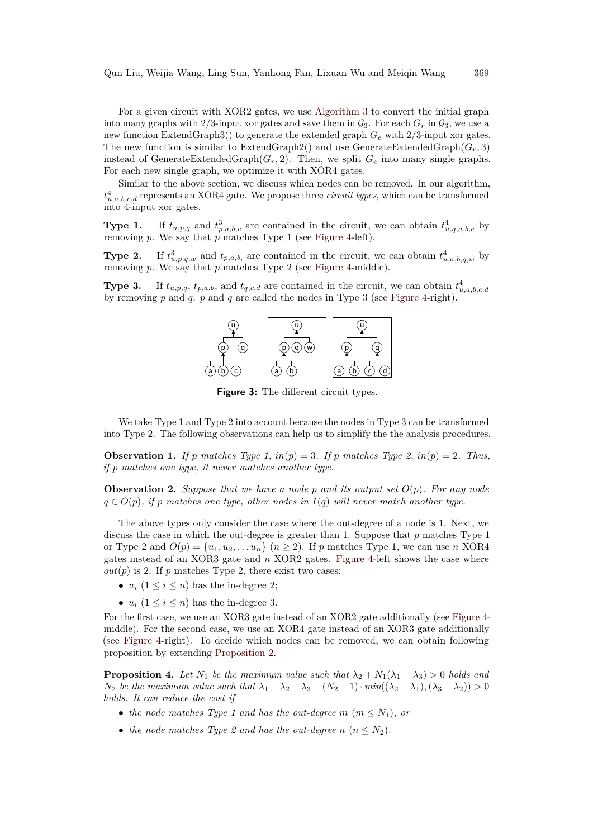For a given circuit with XOR2 gates, we use [Algorithm 3](#page-17-0) to convert the initial graph into many graphs with 2/3-input xor gates and save them in  $\mathcal{G}_3$ . For each  $G_r$  in  $\mathcal{G}_3$ , we use a new function ExtendGraph3() to generate the extended graph *G<sup>e</sup>* with 2/3-input xor gates. The new function is similar to ExtendGraph2() and use GenerateExtendedGraph $(G_r, 3)$ instead of GenerateExtendedGraph $(G_r, 2)$ . Then, we split  $G_e$  into many single graphs. For each new single graph, we optimize it with XOR4 gates.

Similar to the above section, we discuss which nodes can be removed. In our algorithm, *t* 4 *u,a,b,c,d* represents an XOR4 gate. We propose three *circuit types*, which can be transformed into 4-input xor gates.

**Type 1.** If  $t_{u,p,q}$  and  $t_{p,a,b,c}^3$  are contained in the circuit, we can obtain  $t_{u,q,a,b,c}^4$  by removing *p*. We say that *p* matches Type 1 (see [Figure 4-](#page-19-0)left).

**Type 2.**  $\frac{3}{u,p,q,w}$  and  $t_{p,a,b}$ , are contained in the circuit, we can obtain  $t_{u,a,b,q,w}^4$  by removing *p*. We say that *p* matches Type 2 (see [Figure 4-](#page-19-0)middle).

**Type 3.** If  $t_{u,p,q}$ ,  $t_{p,a,b}$ , and  $t_{q,c,d}$  are contained in the circuit, we can obtain  $t_{u,a,b,c,d}^4$ by removing *p* and *q*. *p* and *q* are called the nodes in Type 3 (see [Figure 4-](#page-19-0)right).



**Figure 3:** The different circuit types.

We take Type 1 and Type 2 into account because the nodes in Type 3 can be transformed into Type 2. The following observations can help us to simplify the the analysis procedures.

*if*  $p$  matches one type, it never matches another type. **Observation 1.** *If*  $p$  matches Type 1,  $in(p) = 3$ . *If*  $p$  matches Type 2,  $in(p) = 2$ . Thus,

<span id="page-18-0"></span>**Observation 2.** Suppose that we have a node p and its output set  $O(p)$ . For any node  $q \in O(p)$ , if p matches one type, other nodes in  $I(q)$  will never match another type.

The above types only consider the case where the out-degree of a node is 1. Next, we discuss the case in which the out-degree is greater than 1. Suppose that *p* matches Type 1 or Type 2 and  $O(p) = \{u_1, u_2, \ldots u_n\}$   $(n \geq 2)$ . If p matches Type 1, we can use n XOR4 gates instead of an XOR3 gate and *n* XOR2 gates. [Figure 4-](#page-19-0)left shows the case where  $out(p)$  is 2. If  $p$  matches Type 2, there exist two cases:

- $u_i$   $(1 \leq i \leq n)$  has the in-degree 2;
- $u_i$   $(1 \leq i \leq n)$  has the in-degree 3.

For the first case, we use an XOR3 gate instead of an XOR2 gate additionally (see [Figure 4](#page-19-0) middle). For the second case, we use an XOR4 gate instead of an XOR3 gate additionally (see [Figure 4-](#page-19-0)right). To decide which nodes can be removed, we can obtain following proposition by extending [Proposition 2.](#page-15-1)

**Proposition 4.** *Let*  $N_1$  *be the maximum value such that*  $\lambda_2 + N_1(\lambda_1 - \lambda_3) > 0$  *holds and N*<sub>2</sub> *be the maximum value such that*  $\lambda_1 + \lambda_2 - \lambda_3 - (N_2 - 1) \cdot min((\lambda_2 - \lambda_1), (\lambda_3 - \lambda_2)) > 0$ *holds. It can reduce the cost if*

- *the node matches Type 1 and has the out-degree m*  $(m \leq N_1)$ *, or*
- the node matches Type 2 and has the out-degree  $n (n \leq N_2)$ .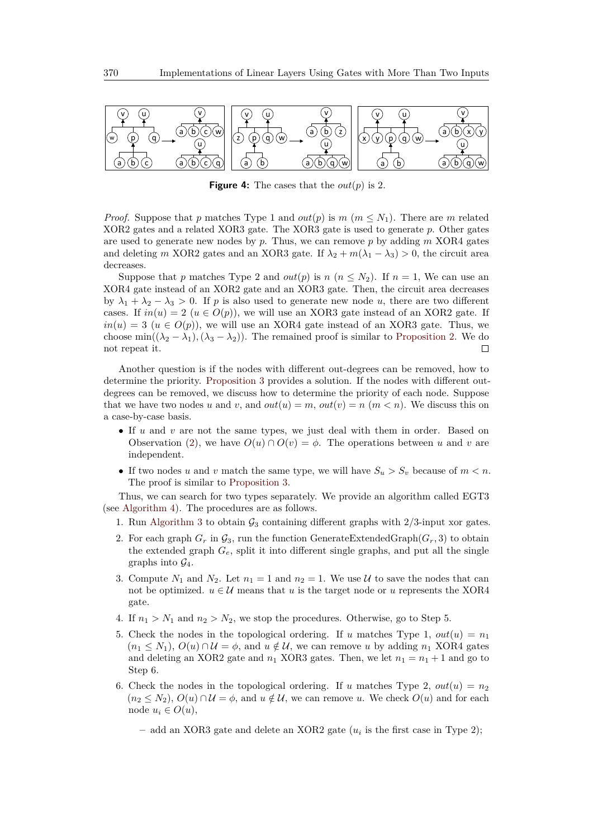<span id="page-19-0"></span>

**Figure 4:** The cases that the *out*(*p*) is 2.

*Proof.* Suppose that *p* matches Type 1 and *out*(*p*) is *m* ( $m \leq N_1$ ). There are *m* related XOR2 gates and a related XOR3 gate. The XOR3 gate is used to generate *p*. Other gates are used to generate new nodes by *p*. Thus, we can remove *p* by adding *m* XOR4 gates and deleting *m* XOR2 gates and an XOR3 gate. If  $\lambda_2 + m(\lambda_1 - \lambda_3) > 0$ , the circuit area decreases.

Suppose that *p* matches Type 2 and *out*(*p*) is *n* ( $n \leq N_2$ ). If  $n = 1$ , We can use an XOR4 gate instead of an XOR2 gate and an XOR3 gate. Then, the circuit area decreases by  $\lambda_1 + \lambda_2 - \lambda_3 > 0$ . If *p* is also used to generate new node *u*, there are two different cases. If  $in(u) = 2$   $(u \in O(p))$ , we will use an XOR3 gate instead of an XOR2 gate. If  $in(u) = 3$  ( $u \in O(p)$ ), we will use an XOR4 gate instead of an XOR3 gate. Thus, we choose min $((\lambda_2 - \lambda_1), (\lambda_3 - \lambda_2))$ . The remained proof is similar to [Proposition 2.](#page-15-1) We do not repeat it.  $\Box$ 

Another question is if the nodes with different out-degrees can be removed, how to determine the priority. [Proposition 3](#page-16-0) provides a solution. If the nodes with different outdegrees can be removed, we discuss how to determine the priority of each node. Suppose that we have two nodes *u* and *v*, and  $out(u) = m$ ,  $out(v) = n$  ( $m < n$ ). We discuss this on a case-by-case basis.

- If *u* and *v* are not the same types, we just deal with them in order. Based on Observation [\(2\)](#page-18-0), we have  $O(u) \cap O(v) = \phi$ . The operations between *u* and *v* are independent.
- If two nodes *u* and *v* match the same type, we will have  $S_u > S_v$  because of  $m < n$ . The proof is similar to [Proposition 3.](#page-16-0)

Thus, we can search for two types separately. We provide an algorithm called EGT3 (see [Algorithm 4\)](#page-21-0). The procedures are as follows.

- 1. Run [Algorithm 3](#page-17-0) to obtain  $\mathcal{G}_3$  containing different graphs with  $2/3$ -input xor gates.
- 2. For each graph  $G_r$  in  $\mathcal{G}_3$ , run the function GenerateExtendedGraph $(G_r, 3)$  to obtain the extended graph  $G_e$ , split it into different single graphs, and put all the single graphs into  $\mathcal{G}_4$ .
- 3. Compute  $N_1$  and  $N_2$ . Let  $n_1 = 1$  and  $n_2 = 1$ . We use U to save the nodes that can not be optimized.  $u \in \mathcal{U}$  means that  $u$  is the target node or  $u$  represents the XOR4 gate.
- 4. If  $n_1 > N_1$  and  $n_2 > N_2$ , we stop the procedures. Otherwise, go to Step 5.
- 5. Check the nodes in the topological ordering. If *u* matches Type 1,  $out(u) = n_1$  $(n_1 \leq N_1), O(u) \cap \mathcal{U} = \phi$ , and  $u \notin \mathcal{U}$ , we can remove *u* by adding  $n_1$  XOR4 gates and deleting an XOR2 gate and  $n_1$  XOR3 gates. Then, we let  $n_1 = n_1 + 1$  and go to Step 6.
- 6. Check the nodes in the topological ordering. If *u* matches Type 2,  $out(u) = n_2$  $(n_2 \leq N_2)$ ,  $O(u) \cap \mathcal{U} = \phi$ , and  $u \notin \mathcal{U}$ , we can remove *u*. We check  $O(u)$  and for each node  $u_i \in O(u)$ ,
	- **–** add an XOR3 gate and delete an XOR2 gate (*u<sup>i</sup>* is the first case in Type 2);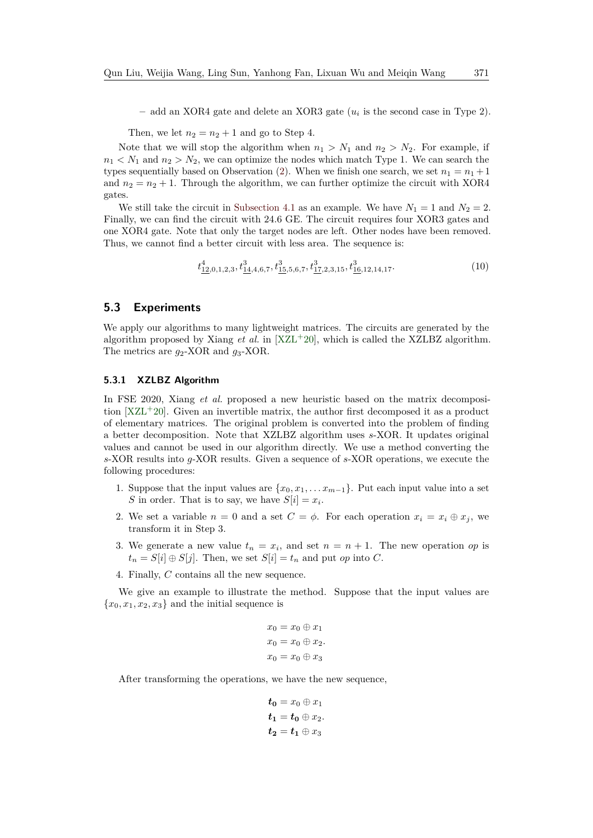**–** add an XOR4 gate and delete an XOR3 gate (*u<sup>i</sup>* is the second case in Type 2).

Then, we let  $n_2 = n_2 + 1$  and go to Step 4.

Note that we will stop the algorithm when  $n_1 > N_1$  and  $n_2 > N_2$ . For example, if  $n_1 < N_1$  and  $n_2 > N_2$ , we can optimize the nodes which match Type 1. We can search the types sequentially based on Observation [\(2\)](#page-18-0). When we finish one search, we set  $n_1 = n_1 + 1$ and  $n_2 = n_2 + 1$ . Through the algorithm, we can further optimize the circuit with XOR4 gates.

We still take the circuit in [Subsection 4.1](#page-9-0) as an example. We have  $N_1 = 1$  and  $N_2 = 2$ . Finally, we can find the circuit with 24*.*6 GE. The circuit requires four XOR3 gates and one XOR4 gate. Note that only the target nodes are left. Other nodes have been removed. Thus, we cannot find a better circuit with less area. The sequence is:

$$
t_{\underline{12},0,1,2,3}^4, t_{\underline{14},4,6,7}^3, t_{\underline{15},5,6,7}^3, t_{\underline{17},2,3,15}^3, t_{\underline{16},12,14,17}^3. \tag{10}
$$

### **5.3 Experiments**

We apply our algorithms to many lightweight matrices. The circuits are generated by the algorithm proposed by Xiang  $et$  al. in  $[XZL+20]$  $[XZL+20]$ , which is called the XZLBZ algorithm. The metrics are  $g_2$ -XOR and  $g_3$ -XOR.

#### **5.3.1 XZLBZ Algorithm**

In FSE 2020, Xiang *et al.* proposed a new heuristic based on the matrix decomposition [\[XZL](#page-27-5)<sup>+</sup>20]. Given an invertible matrix, the author first decomposed it as a product of elementary matrices. The original problem is converted into the problem of finding a better decomposition. Note that XZLBZ algorithm uses *s*-XOR. It updates original values and cannot be used in our algorithm directly. We use a method converting the *s*-XOR results into *g*-XOR results. Given a sequence of *s*-XOR operations, we execute the following procedures:

- 1. Suppose that the input values are  $\{x_0, x_1, \ldots x_{m-1}\}$ . Put each input value into a set *S* in order. That is to say, we have  $S[i] = x_i$ .
- 2. We set a variable  $n = 0$  and a set  $C = \phi$ . For each operation  $x_i = x_i \oplus x_j$ , we transform it in Step 3.
- 3. We generate a new value  $t_n = x_i$ , and set  $n = n + 1$ . The new operation *op* is  $t_n = S[i] \oplus S[j]$ . Then, we set  $S[i] = t_n$  and put *op* into *C*.
- 4. Finally, *C* contains all the new sequence.

We give an example to illustrate the method. Suppose that the input values are  ${x_0, x_1, x_2, x_3}$  and the initial sequence is

$$
x_0 = x_0 \oplus x_1
$$
  

$$
x_0 = x_0 \oplus x_2.
$$
  

$$
x_0 = x_0 \oplus x_3
$$

After transforming the operations, we have the new sequence,

$$
t_0 = x_0 \oplus x_1
$$
  

$$
t_1 = t_0 \oplus x_2.
$$
  

$$
t_2 = t_1 \oplus x_3
$$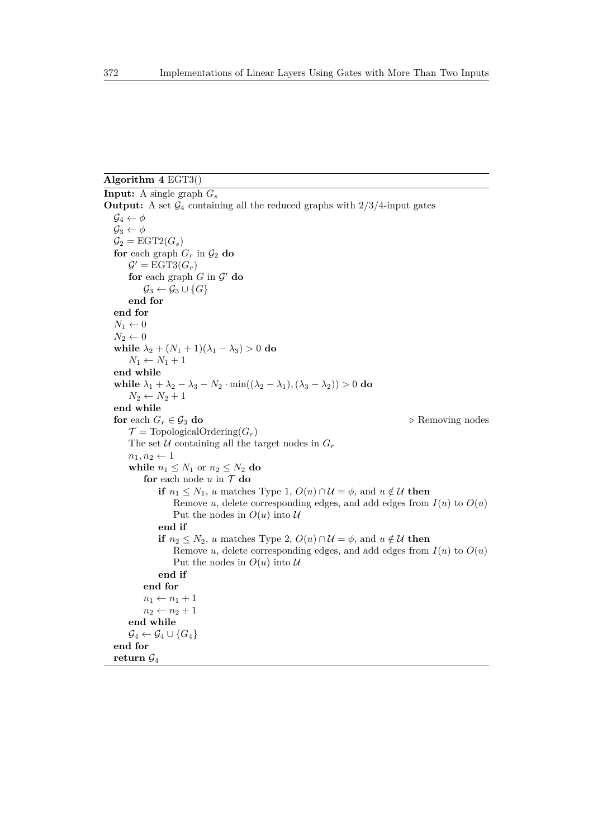# <span id="page-21-0"></span>**Algorithm 4** EGT3()

```
Input: A single graph Gs
Output: A set \mathcal{G}_4 containing all the reduced graphs with 2/3/4-input gates
   \mathcal{G}_4 \leftarrow \phi\mathcal{G}_3 \leftarrow \phi\mathcal{G}_2 = \text{EGT2}(G_s)for each graph G_r in \mathcal{G}_2 do
       \mathcal{G}' = \text{EGT3}(G_r)for each graph G in \mathcal{G}' do
           \mathcal{G}_3 \leftarrow \mathcal{G}_3 \cup \{G\}end for
   end for
   N_1 \leftarrow 0N_2 \leftarrow 0while \lambda_2 + (N_1 + 1)(\lambda_1 - \lambda_3) > 0 do
       N_1 \leftarrow N_1 + 1end while
   while λ_1 + λ_2 - λ_3 - N_2 \cdot min((λ_2 − λ_1), (λ_3 − λ_2)) > 0 do
       N_2 \leftarrow N_2 + 1end while
   for each G_r \in \mathcal{G}_3 do \triangleright Removing nodes
       \mathcal{T} = \text{TopologicalOrdering}(G_r)The set U containing all the target nodes in G_rn_1, n_2 \leftarrow 1while n_1 \leq N_1 or n_2 \leq N_2 do
           for each node u in \mathcal{T} do
                if n_1 \leq N_1, u matches Type 1, O(u) \cap \mathcal{U} = \phi, and u \notin \mathcal{U} then
                    Remove u, delete corresponding edges, and add edges from I(u) to O(u)Put the nodes in O(u) into Uend if
                if n_2 \leq N_2, u matches Type 2, O(u) \cap \mathcal{U} = \phi, and u \notin \mathcal{U} then
                    Remove u, delete corresponding edges, and add edges from I(u) to O(u)Put the nodes in O(u) into Uend if
           end for
           n_1 \leftarrow n_1 + 1n_2 \leftarrow n_2 + 1end while
       \mathcal{G}_4 \leftarrow \mathcal{G}_4 \cup \{G_4\}end for
   return G4
```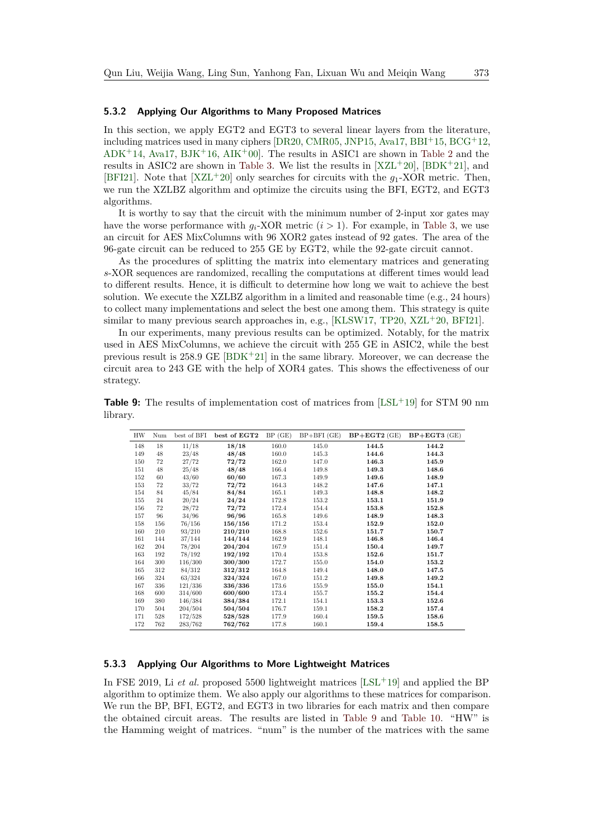#### **5.3.2 Applying Our Algorithms to Many Proposed Matrices**

In this section, we apply EGT2 and EGT3 to several linear layers from the literature, including matrices used in many ciphers  $[DR20, CMR05, JNP15, Ava17, BBI<sup>+</sup>15, BCG<sup>+</sup>12,$  $[DR20, CMR05, JNP15, Ava17, BBI<sup>+</sup>15, BCG<sup>+</sup>12,$  $[DR20, CMR05, JNP15, Ava17, BBI<sup>+</sup>15, BCG<sup>+</sup>12,$  $[DR20, CMR05, JNP15, Ava17, BBI<sup>+</sup>15, BCG<sup>+</sup>12,$  $[DR20, CMR05, JNP15, Ava17, BBI<sup>+</sup>15, BCG<sup>+</sup>12,$  $[DR20, CMR05, JNP15, Ava17, BBI<sup>+</sup>15, BCG<sup>+</sup>12,$  $[DR20, CMR05, JNP15, Ava17, BBI<sup>+</sup>15, BCG<sup>+</sup>12,$  $[DR20, CMR05, JNP15, Ava17, BBI<sup>+</sup>15, BCG<sup>+</sup>12,$  $[DR20, CMR05, JNP15, Ava17, BBI<sup>+</sup>15, BCG<sup>+</sup>12,$  $[DR20, CMR05, JNP15, Ava17, BBI<sup>+</sup>15, BCG<sup>+</sup>12,$  $[DR20, CMR05, JNP15, Ava17, BBI<sup>+</sup>15, BCG<sup>+</sup>12,$  $[DR20, CMR05, JNP15, Ava17, BBI<sup>+</sup>15, BCG<sup>+</sup>12,$  $ADK+14$  $ADK+14$ , [Ava17,](#page-25-6) [BJK](#page-25-8) $+16$ , [AIK](#page-24-1) $+00$ . The results in ASIC1 are shown in [Table 2](#page-3-0) and the results in ASIC2 are shown in [Table 3.](#page-3-1) We list the results in  $[XZL+20]$  $[XZL+20]$ ,  $[BDK+21]$  $[BDK+21]$ , and [\[BFI21\]](#page-25-4). Note that  $[XZL^+20]$  $[XZL^+20]$  only searches for circuits with the  $g_1$ -XOR metric. Then, we run the XZLBZ algorithm and optimize the circuits using the BFI, EGT2, and EGT3 algorithms.

It is worthy to say that the circuit with the minimum number of 2-input xor gates may have the worse performance with  $q_i$ -XOR metric  $(i > 1)$ . For example, in [Table 3,](#page-3-1) we use an circuit for AES MixColumns with 96 XOR2 gates instead of 92 gates. The area of the 96-gate circuit can be reduced to 255 GE by EGT2, while the 92-gate circuit cannot.

As the procedures of splitting the matrix into elementary matrices and generating *s*-XOR sequences are randomized, recalling the computations at different times would lead to different results. Hence, it is difficult to determine how long we wait to achieve the best solution. We execute the XZLBZ algorithm in a limited and reasonable time (e.g., 24 hours) to collect many implementations and select the best one among them. This strategy is quite similar to many previous search approaches in, e.g., [\[KLSW17,](#page-26-3) [TP20,](#page-27-4) [XZL](#page-27-5)<sup>+</sup>20, [BFI21\]](#page-25-4).

In our experiments, many previous results can be optimized. Notably, for the matrix used in AES MixColumns, we achieve the circuit with 255 GE in ASIC2, while the best previous result is 258*.*9 GE [\[BDK](#page-25-5)<sup>+</sup>21] in the same library. Moreover, we can decrease the circuit area to 243 GE with the help of XOR4 gates. This shows the effectiveness of our strategy.

<span id="page-22-0"></span>**Table 9:** The results of implementation cost of matrices from [\[LSL](#page-27-3)+19] for STM 90 nm library.

| HW  | Num | best of BFI | best of EGT2 | BP(GE) | $BP + BFI$ (GE) | $BP + EGT2$ (GE) | $BP + EGT3$ (GE) |
|-----|-----|-------------|--------------|--------|-----------------|------------------|------------------|
| 148 | 18  | 11/18       | 18/18        | 160.0  | 145.0           | 144.5            | 144.2            |
| 149 | 48  | 23/48       | 48/48        | 160.0  | 145.3           | 144.6            | 144.3            |
| 150 | 72  | 27/72       | 72/72        | 162.0  | 147.0           | 146.3            | 145.9            |
| 151 | 48  | 25/48       | 48/48        | 166.4  | 149.8           | 149.3            | 148.6            |
| 152 | 60  | 43/60       | 60/60        | 167.3  | 149.9           | 149.6            | 148.9            |
| 153 | 72  | 33/72       | 72/72        | 164.3  | 148.2           | 147.6            | 147.1            |
| 154 | 84  | 45/84       | 84/84        | 165.1  | 149.3           | 148.8            | 148.2            |
| 155 | 24  | 20/24       | 24/24        | 172.8  | 153.2           | 153.1            | 151.9            |
| 156 | 72  | 28/72       | 72/72        | 172.4  | 154.4           | 153.8            | 152.8            |
| 157 | 96  | 34/96       | 96/96        | 165.8  | 149.6           | 148.9            | 148.3            |
| 158 | 156 | 76/156      | 156/156      | 171.2  | 153.4           | 152.9            | 152.0            |
| 160 | 210 | 93/210      | 210/210      | 168.8  | 152.6           | 151.7            | 150.7            |
| 161 | 144 | 37/144      | 144/144      | 162.9  | 148.1           | 146.8            | 146.4            |
| 162 | 204 | 78/204      | 204/204      | 167.9  | 151.4           | 150.4            | 149.7            |
| 163 | 192 | 78/192      | 192/192      | 170.4  | 153.8           | 152.6            | 151.7            |
| 164 | 300 | 116/300     | 300/300      | 172.7  | 155.0           | 154.0            | 153.2            |
| 165 | 312 | 84/312      | 312/312      | 164.8  | 149.4           | 148.0            | 147.5            |
| 166 | 324 | 63/324      | 324/324      | 167.0  | 151.2           | 149.8            | 149.2            |
| 167 | 336 | 121/336     | 336/336      | 173.6  | 155.9           | 155.0            | 154.1            |
| 168 | 600 | 314/600     | 600/600      | 173.4  | 155.7           | 155.2            | 154.4            |
| 169 | 380 | 146/384     | 384/384      | 172.1  | 154.1           | 153.3            | 152.6            |
| 170 | 504 | 204/504     | 504/504      | 176.7  | 159.1           | 158.2            | 157.4            |
| 171 | 528 | 172/528     | 528/528      | 177.9  | 160.4           | 159.5            | 158.6            |
| 172 | 762 | 283/762     | 762/762      | 177.8  | 160.1           | 159.4            | 158.5            |

#### **5.3.3 Applying Our Algorithms to More Lightweight Matrices**

In FSE 2019, Li *et al.* proposed 5500 lightweight matrices [\[LSL](#page-27-3)<sup>+</sup>19] and applied the BP algorithm to optimize them. We also apply our algorithms to these matrices for comparison. We run the BP, BFI, EGT2, and EGT3 in two libraries for each matrix and then compare the obtained circuit areas. The results are listed in [Table 9](#page-22-0) and [Table 10.](#page-23-0) "HW" is the Hamming weight of matrices. "num" is the number of the matrices with the same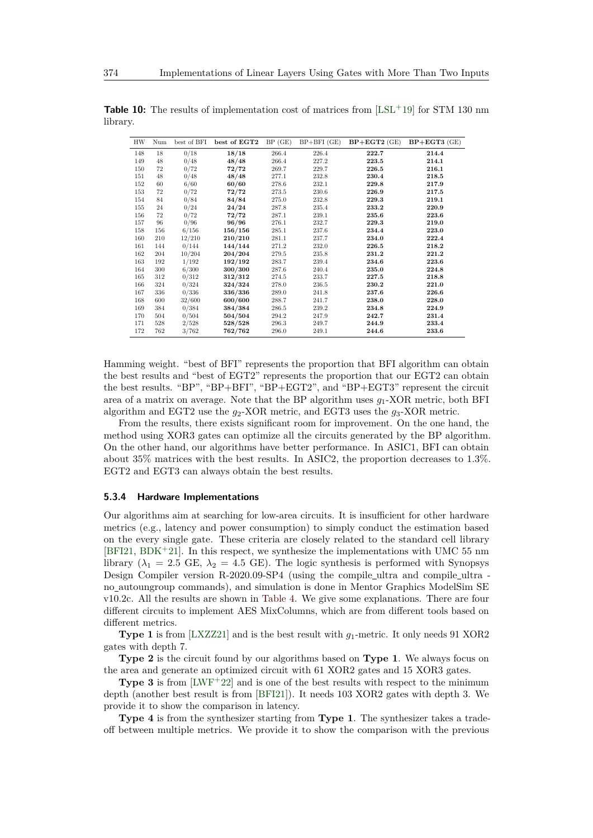| <b>HW</b> | Num | best of BFI | best of EGT2 | BP(GE) | $BP + BFI$ (GE) | $BP + EGT2$ (GE) | $BP + EGT3$ (GE) |
|-----------|-----|-------------|--------------|--------|-----------------|------------------|------------------|
| 148       | 18  | 0/18        | 18/18        | 266.4  | 226.4           | 222.7            | 214.4            |
| 149       | 48  | 0/48        | 48/48        | 266.4  | 227.2           | 223.5            | 214.1            |
| 150       | 72  | 0/72        | 72/72        | 269.7  | 229.7           | 226.5            | 216.1            |
| 151       | 48  | 0/48        | 48/48        | 277.1  | 232.8           | 230.4            | 218.5            |
| 152       | 60  | 6/60        | 60/60        | 278.6  | 232.1           | 229.8            | 217.9            |
| 153       | 72  | 0/72        | 72/72        | 273.5  | 230.6           | 226.9            | 217.5            |
| 154       | 84  | 0/84        | 84/84        | 275.0  | 232.8           | 229.3            | 219.1            |
| 155       | 24  | 0/24        | 24/24        | 287.8  | 235.4           | 233.2            | 220.9            |
| 156       | 72  | 0/72        | 72/72        | 287.1  | 239.1           | 235.6            | 223.6            |
| 157       | 96  | 0/96        | 96/96        | 276.1  | 232.7           | 229.3            | 219.0            |
| 158       | 156 | 6/156       | 156/156      | 285.1  | 237.6           | 234.4            | 223.0            |
| 160       | 210 | 12/210      | 210/210      | 281.1  | 237.7           | 234.0            | 222.4            |
| 161       | 144 | 0/144       | 144/144      | 271.2  | 232.0           | 226.5            | 218.2            |
| 162       | 204 | 10/204      | 204/204      | 279.5  | 235.8           | 231.2            | 221.2            |
| 163       | 192 | 1/192       | 192/192      | 283.7  | 239.4           | 234.6            | 223.6            |
| 164       | 300 | 6/300       | 300/300      | 287.6  | 240.4           | 235.0            | 224.8            |
| 165       | 312 | 0/312       | 312/312      | 274.5  | 233.7           | 227.5            | 218.8            |
| 166       | 324 | 0/324       | 324/324      | 278.0  | 236.5           | 230.2            | 221.0            |
| 167       | 336 | 0/336       | 336/336      | 289.0  | 241.8           | 237.6            | 226.6            |
| 168       | 600 | 32/600      | 600/600      | 288.7  | 241.7           | 238.0            | 228.0            |
| 169       | 384 | 0/384       | 384/384      | 286.5  | 239.2           | 234.8            | 224.9            |
| 170       | 504 | 0/504       | 504/504      | 294.2  | 247.9           | 242.7            | 231.4            |
| 171       | 528 | 2/528       | 528/528      | 296.3  | 249.7           | 244.9            | 233.4            |
| 172       | 762 | 3/762       | 762/762      | 296.0  | 249.1           | 244.6            | 233.6            |

<span id="page-23-0"></span>**Table 10:** The results of implementation cost of matrices from [\[LSL](#page-27-3)+19] for STM 130 nm library.

Hamming weight. "best of BFI" represents the proportion that BFI algorithm can obtain the best results and "best of EGT2" represents the proportion that our EGT2 can obtain the best results. "BP", "BP+BFI", "BP+EGT2", and "BP+EGT3" represent the circuit area of a matrix on average. Note that the BP algorithm uses *g*1-XOR metric, both BFI algorithm and EGT2 use the  $g_2$ -XOR metric, and EGT3 uses the  $g_3$ -XOR metric.

From the results, there exists significant room for improvement. On the one hand, the method using XOR3 gates can optimize all the circuits generated by the BP algorithm. On the other hand, our algorithms have better performance. In ASIC1, BFI can obtain about 35% matrices with the best results. In ASIC2, the proportion decreases to 1*.*3%. EGT2 and EGT3 can always obtain the best results.

#### **5.3.4 Hardware Implementations**

Our algorithms aim at searching for low-area circuits. It is insufficient for other hardware metrics (e.g., latency and power consumption) to simply conduct the estimation based on the every single gate. These criteria are closely related to the standard cell library [\[BFI21,](#page-25-4) [BDK](#page-25-5)<sup>+</sup>21]. In this respect, we synthesize the implementations with UMC 55 nm library ( $\lambda_1 = 2.5$  GE,  $\lambda_2 = 4.5$  GE). The logic synthesis is performed with Synopsys Design Compiler version R-2020.09-SP4 (using the compile ultra and compile ultra no autoungroup commands), and simulation is done in Mentor Graphics ModelSim SE v10.2c. All the results are shown in [Table 4.](#page-3-2) We give some explanations. There are four different circuits to implement AES MixColumns, which are from different tools based on different metrics.

**Type 1** is from [\[LXZZ21\]](#page-27-6) and is the best result with *g*1-metric. It only needs 91 XOR2 gates with depth 7.

**Type 2** is the circuit found by our algorithms based on **Type 1**. We always focus on the area and generate an optimized circuit with 61 XOR2 gates and 15 XOR3 gates.

**Type 3** is from  $[LWF^+22]$  $[LWF^+22]$  and is one of the best results with respect to the minimum depth (another best result is from [\[BFI21\]](#page-25-4)). It needs 103 XOR2 gates with depth 3. We provide it to show the comparison in latency.

**Type 4** is from the synthesizer starting from **Type 1**. The synthesizer takes a tradeoff between multiple metrics. We provide it to show the comparison with the previous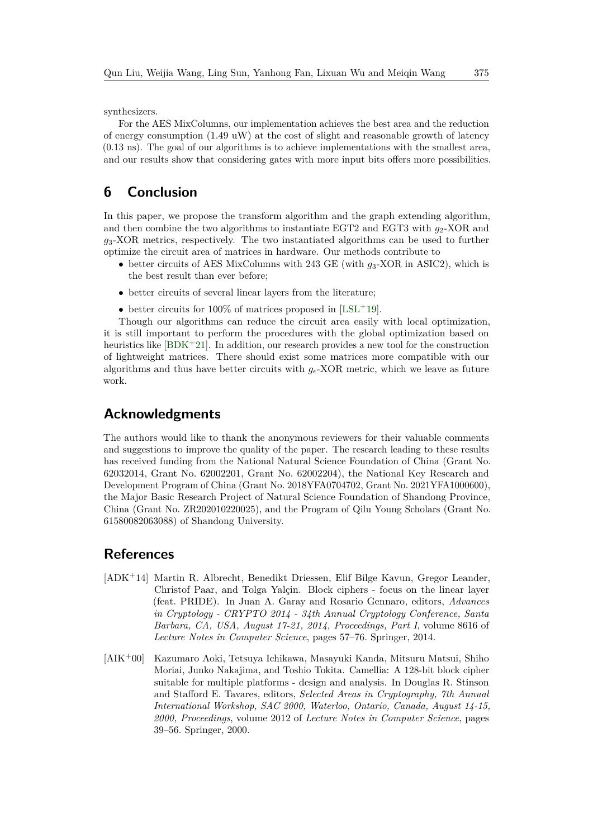synthesizers.

For the AES MixColumns, our implementation achieves the best area and the reduction of energy consumption (1.49 uW) at the cost of slight and reasonable growth of latency (0.13 ns). The goal of our algorithms is to achieve implementations with the smallest area, and our results show that considering gates with more input bits offers more possibilities.

# <span id="page-24-2"></span>**6 Conclusion**

In this paper, we propose the transform algorithm and the graph extending algorithm, and then combine the two algorithms to instantiate EGT2 and EGT3 with  $g_2$ -XOR and *g*3-XOR metrics, respectively. The two instantiated algorithms can be used to further optimize the circuit area of matrices in hardware. Our methods contribute to

- better circuits of AES MixColumns with 243 GE (with *g*3-XOR in ASIC2), which is the best result than ever before;
- better circuits of several linear layers from the literature;
- better circuits for 100% of matrices proposed in  $[LSL+19]$  $[LSL+19]$ .

Though our algorithms can reduce the circuit area easily with local optimization, it is still important to perform the procedures with the global optimization based on heuristics like [\[BDK](#page-25-5)+21]. In addition, our research provides a new tool for the construction of lightweight matrices. There should exist some matrices more compatible with our algorithms and thus have better circuits with  $g_{\epsilon}$ -XOR metric, which we leave as future work.

# **Acknowledgments**

The authors would like to thank the anonymous reviewers for their valuable comments and suggestions to improve the quality of the paper. The research leading to these results has received funding from the National Natural Science Foundation of China (Grant No. 62032014, Grant No. 62002201, Grant No. 62002204), the National Key Research and Development Program of China (Grant No. 2018YFA0704702, Grant No. 2021YFA1000600), the Major Basic Research Project of Natural Science Foundation of Shandong Province, China (Grant No. ZR202010220025), and the Program of Qilu Young Scholars (Grant No. 61580082063088) of Shandong University.

# **References**

- <span id="page-24-0"></span>[ADK<sup>+</sup>14] Martin R. Albrecht, Benedikt Driessen, Elif Bilge Kavun, Gregor Leander, Christof Paar, and Tolga Yalçin. Block ciphers - focus on the linear layer (feat. PRIDE). In Juan A. Garay and Rosario Gennaro, editors, *Advances in Cryptology - CRYPTO 2014 - 34th Annual Cryptology Conference, Santa Barbara, CA, USA, August 17-21, 2014, Proceedings, Part I*, volume 8616 of *Lecture Notes in Computer Science*, pages 57–76. Springer, 2014.
- <span id="page-24-1"></span>[AIK<sup>+</sup>00] Kazumaro Aoki, Tetsuya Ichikawa, Masayuki Kanda, Mitsuru Matsui, Shiho Moriai, Junko Nakajima, and Toshio Tokita. Camellia: A 128-bit block cipher suitable for multiple platforms - design and analysis. In Douglas R. Stinson and Stafford E. Tavares, editors, *Selected Areas in Cryptography, 7th Annual International Workshop, SAC 2000, Waterloo, Ontario, Canada, August 14-15, 2000, Proceedings*, volume 2012 of *Lecture Notes in Computer Science*, pages 39–56. Springer, 2000.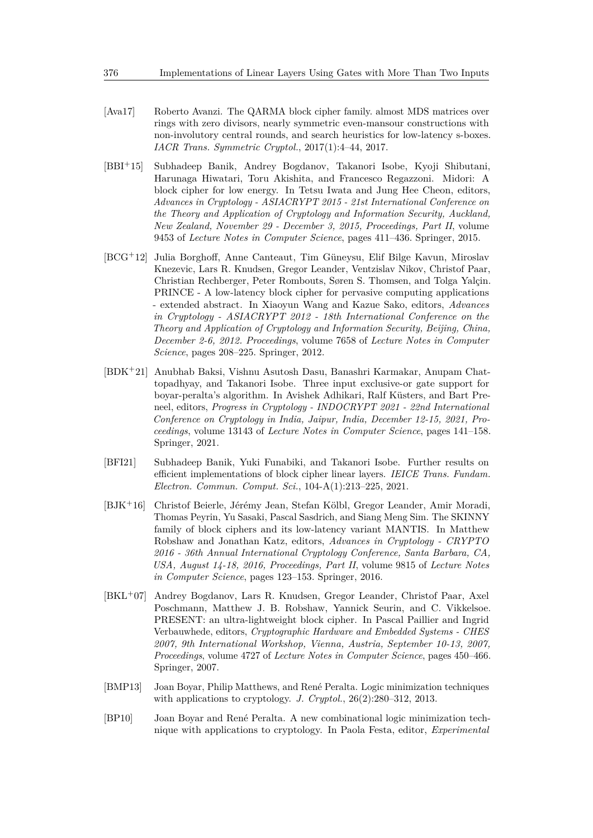- <span id="page-25-6"></span>[Ava17] Roberto Avanzi. The QARMA block cipher family. almost MDS matrices over rings with zero divisors, nearly symmetric even-mansour constructions with non-involutory central rounds, and search heuristics for low-latency s-boxes. *IACR Trans. Symmetric Cryptol.*, 2017(1):4–44, 2017.
- <span id="page-25-1"></span>[BBI<sup>+</sup>15] Subhadeep Banik, Andrey Bogdanov, Takanori Isobe, Kyoji Shibutani, Harunaga Hiwatari, Toru Akishita, and Francesco Regazzoni. Midori: A block cipher for low energy. In Tetsu Iwata and Jung Hee Cheon, editors, *Advances in Cryptology - ASIACRYPT 2015 - 21st International Conference on the Theory and Application of Cryptology and Information Security, Auckland, New Zealand, November 29 - December 3, 2015, Proceedings, Part II*, volume 9453 of *Lecture Notes in Computer Science*, pages 411–436. Springer, 2015.
- <span id="page-25-7"></span>[BCG<sup>+</sup>12] Julia Borghoff, Anne Canteaut, Tim Güneysu, Elif Bilge Kavun, Miroslav Knezevic, Lars R. Knudsen, Gregor Leander, Ventzislav Nikov, Christof Paar, Christian Rechberger, Peter Rombouts, Søren S. Thomsen, and Tolga Yalçin. PRINCE - A low-latency block cipher for pervasive computing applications - extended abstract. In Xiaoyun Wang and Kazue Sako, editors, *Advances in Cryptology - ASIACRYPT 2012 - 18th International Conference on the Theory and Application of Cryptology and Information Security, Beijing, China, December 2-6, 2012. Proceedings*, volume 7658 of *Lecture Notes in Computer Science*, pages 208–225. Springer, 2012.
- <span id="page-25-5"></span>[BDK<sup>+</sup>21] Anubhab Baksi, Vishnu Asutosh Dasu, Banashri Karmakar, Anupam Chattopadhyay, and Takanori Isobe. Three input exclusive-or gate support for boyar-peralta's algorithm. In Avishek Adhikari, Ralf Küsters, and Bart Preneel, editors, *Progress in Cryptology - INDOCRYPT 2021 - 22nd International Conference on Cryptology in India, Jaipur, India, December 12-15, 2021, Proceedings*, volume 13143 of *Lecture Notes in Computer Science*, pages 141–158. Springer, 2021.
- <span id="page-25-4"></span>[BFI21] Subhadeep Banik, Yuki Funabiki, and Takanori Isobe. Further results on efficient implementations of block cipher linear layers. *IEICE Trans. Fundam. Electron. Commun. Comput. Sci.*, 104-A(1):213–225, 2021.
- <span id="page-25-8"></span>[BJK<sup>+</sup>16] Christof Beierle, Jérémy Jean, Stefan Kölbl, Gregor Leander, Amir Moradi, Thomas Peyrin, Yu Sasaki, Pascal Sasdrich, and Siang Meng Sim. The SKINNY family of block ciphers and its low-latency variant MANTIS. In Matthew Robshaw and Jonathan Katz, editors, *Advances in Cryptology - CRYPTO 2016 - 36th Annual International Cryptology Conference, Santa Barbara, CA, USA, August 14-18, 2016, Proceedings, Part II*, volume 9815 of *Lecture Notes in Computer Science*, pages 123–153. Springer, 2016.
- <span id="page-25-0"></span>[BKL<sup>+</sup>07] Andrey Bogdanov, Lars R. Knudsen, Gregor Leander, Christof Paar, Axel Poschmann, Matthew J. B. Robshaw, Yannick Seurin, and C. Vikkelsoe. PRESENT: an ultra-lightweight block cipher. In Pascal Paillier and Ingrid Verbauwhede, editors, *Cryptographic Hardware and Embedded Systems - CHES 2007, 9th International Workshop, Vienna, Austria, September 10-13, 2007, Proceedings*, volume 4727 of *Lecture Notes in Computer Science*, pages 450–466. Springer, 2007.
- <span id="page-25-3"></span>[BMP13] Joan Boyar, Philip Matthews, and René Peralta. Logic minimization techniques with applications to cryptology. *J. Cryptol.*, 26(2):280–312, 2013.
- <span id="page-25-2"></span>[BP10] Joan Boyar and René Peralta. A new combinational logic minimization technique with applications to cryptology. In Paola Festa, editor, *Experimental*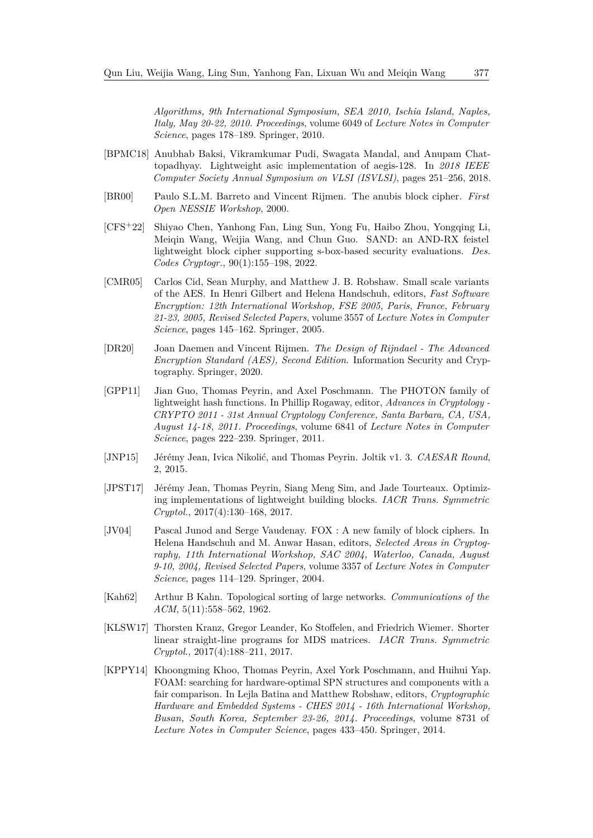*Algorithms, 9th International Symposium, SEA 2010, Ischia Island, Naples, Italy, May 20-22, 2010. Proceedings*, volume 6049 of *Lecture Notes in Computer Science*, pages 178–189. Springer, 2010.

- <span id="page-26-4"></span>[BPMC18] Anubhab Baksi, Vikramkumar Pudi, Swagata Mandal, and Anupam Chattopadhyay. Lightweight asic implementation of aegis-128. In *2018 IEEE Computer Society Annual Symposium on VLSI (ISVLSI)*, pages 251–256, 2018.
- <span id="page-26-7"></span>[BR00] Paulo S.L.M. Barreto and Vincent Rijmen. The anubis block cipher. *First Open NESSIE Workshop*, 2000.
- <span id="page-26-1"></span>[CFS<sup>+</sup>22] Shiyao Chen, Yanhong Fan, Ling Sun, Yong Fu, Haibo Zhou, Yongqing Li, Meiqin Wang, Weijia Wang, and Chun Guo. SAND: an AND-RX feistel lightweight block cipher supporting s-box-based security evaluations. *Des. Codes Cryptogr.*, 90(1):155–198, 2022.
- <span id="page-26-5"></span>[CMR05] Carlos Cid, Sean Murphy, and Matthew J. B. Robshaw. Small scale variants of the AES. In Henri Gilbert and Helena Handschuh, editors, *Fast Software Encryption: 12th International Workshop, FSE 2005, Paris, France, February 21-23, 2005, Revised Selected Papers*, volume 3557 of *Lecture Notes in Computer Science*, pages 145–162. Springer, 2005.
- <span id="page-26-2"></span>[DR20] Joan Daemen and Vincent Rijmen. *The Design of Rijndael - The Advanced Encryption Standard (AES), Second Edition*. Information Security and Cryptography. Springer, 2020.
- <span id="page-26-0"></span>[GPP11] Jian Guo, Thomas Peyrin, and Axel Poschmann. The PHOTON family of lightweight hash functions. In Phillip Rogaway, editor, *Advances in Cryptology - CRYPTO 2011 - 31st Annual Cryptology Conference, Santa Barbara, CA, USA, August 14-18, 2011. Proceedings*, volume 6841 of *Lecture Notes in Computer Science*, pages 222–239. Springer, 2011.
- <span id="page-26-6"></span>[JNP15] Jérémy Jean, Ivica Nikolić, and Thomas Peyrin. Joltik v1. 3. *CAESAR Round*, 2, 2015.
- <span id="page-26-10"></span>[JPST17] Jérémy Jean, Thomas Peyrin, Siang Meng Sim, and Jade Tourteaux. Optimizing implementations of lightweight building blocks. *IACR Trans. Symmetric Cryptol.*, 2017(4):130–168, 2017.
- <span id="page-26-8"></span>[JV04] Pascal Junod and Serge Vaudenay. FOX : A new family of block ciphers. In Helena Handschuh and M. Anwar Hasan, editors, *Selected Areas in Cryptography, 11th International Workshop, SAC 2004, Waterloo, Canada, August 9-10, 2004, Revised Selected Papers*, volume 3357 of *Lecture Notes in Computer Science*, pages 114–129. Springer, 2004.
- <span id="page-26-11"></span>[Kah62] Arthur B Kahn. Topological sorting of large networks. *Communications of the ACM*, 5(11):558–562, 1962.
- <span id="page-26-3"></span>[KLSW17] Thorsten Kranz, Gregor Leander, Ko Stoffelen, and Friedrich Wiemer. Shorter linear straight-line programs for MDS matrices. *IACR Trans. Symmetric Cryptol.*, 2017(4):188–211, 2017.
- <span id="page-26-9"></span>[KPPY14] Khoongming Khoo, Thomas Peyrin, Axel York Poschmann, and Huihui Yap. FOAM: searching for hardware-optimal SPN structures and components with a fair comparison. In Lejla Batina and Matthew Robshaw, editors, *Cryptographic Hardware and Embedded Systems - CHES 2014 - 16th International Workshop, Busan, South Korea, September 23-26, 2014. Proceedings*, volume 8731 of *Lecture Notes in Computer Science*, pages 433–450. Springer, 2014.